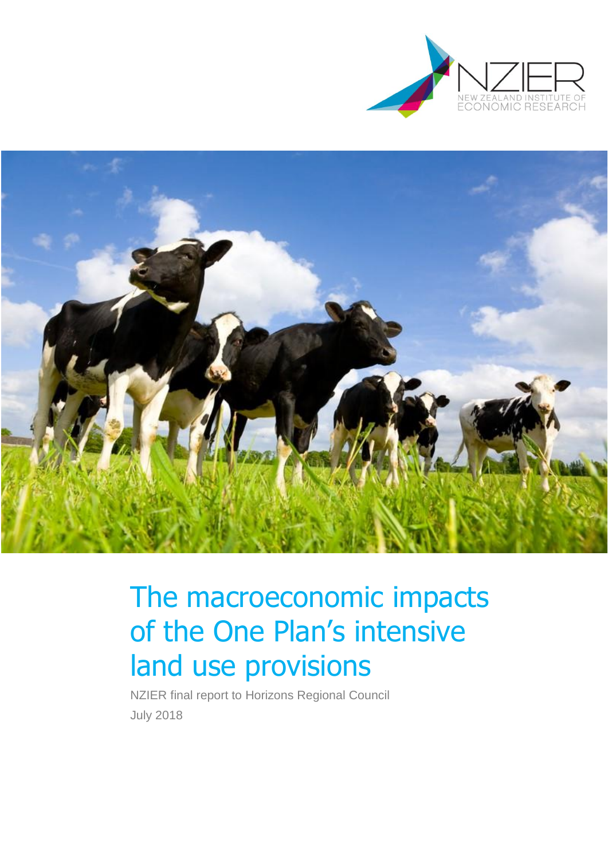



# The macroeconomic impacts of the One Plan's intensive land use provisions

NZIER final report to Horizons Regional Council July 2018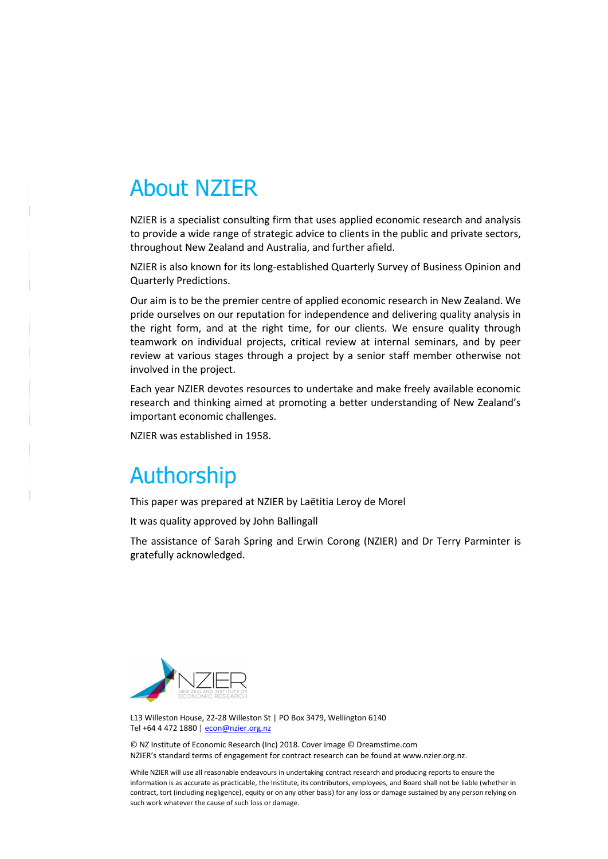# About NZIER

NZIER is a specialist consulting firm that uses applied economic research and analysis to provide a wide range of strategic advice to clients in the public and private sectors, throughout New Zealand and Australia, and further afield.

NZIER is also known for its long-established Quarterly Survey of Business Opinion and Quarterly Predictions.

Our aim is to be the premier centre of applied economic research in New Zealand. We pride ourselves on our reputation for independence and delivering quality analysis in the right form, and at the right time, for our clients. We ensure quality through teamwork on individual projects, critical review at internal seminars, and by peer review at various stages through a project by a senior staff member otherwise not involved in the project.

Each year NZIER devotes resources to undertake and make freely available economic research and thinking aimed at promoting a better understanding of New Zealand's important economic challenges.

NZIER was established in 1958.

# Authorship

This paper was prepared at NZIER by Laëtitia Leroy de Morel

It was quality approved by John Ballingall

The assistance of Sarah Spring and Erwin Corong (NZIER) and Dr Terry Parminter is gratefully acknowledged.



L13 Willeston House, 22-28 Willeston St | PO Box 3479, Wellington 6140 Tel +64 4 472 1880 [| econ@nzier.org.nz](mailto:econ@nzier.org.nz)

© NZ Institute of Economic Research (Inc) 2018. Cover image © Dreamstime.com NZIER's standard terms of engagement for contract research can be found at www.nzier.org.nz.

While NZIER will use all reasonable endeavours in undertaking contract research and producing reports to ensure the information is as accurate as practicable, the Institute, its contributors, employees, and Board shall not be liable (whether in contract, tort (including negligence), equity or on any other basis) for any loss or damage sustained by any person relying on such work whatever the cause of such loss or damage.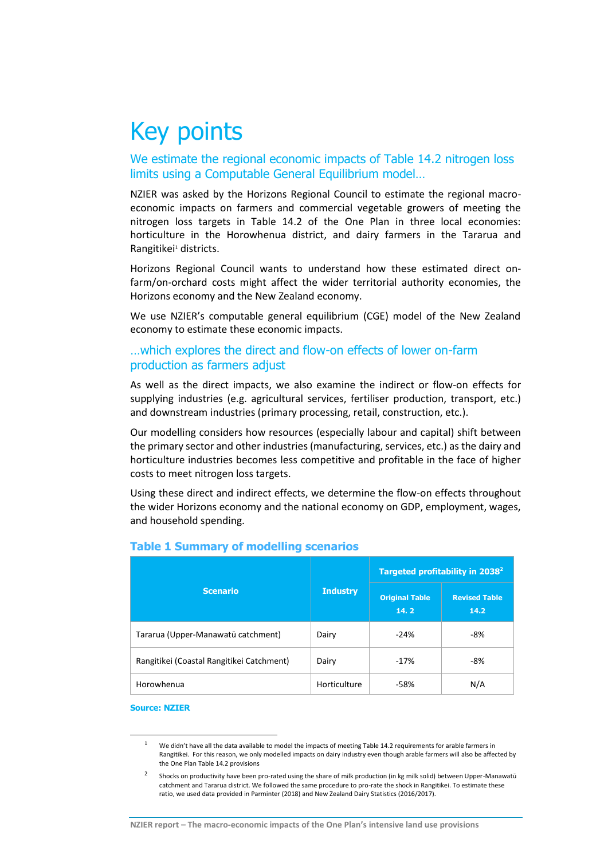# Key points

We estimate the regional economic impacts of Table 14.2 nitrogen loss limits using a Computable General Equilibrium model…

NZIER was asked by the Horizons Regional Council to estimate the regional macroeconomic impacts on farmers and commercial vegetable growers of meeting the nitrogen loss targets in Table 14.2 of the One Plan in three local economies: horticulture in the Horowhenua district, and dairy farmers in the Tararua and Rangitikei<sup>1</sup> districts.

Horizons Regional Council wants to understand how these estimated direct onfarm/on-orchard costs might affect the wider territorial authority economies, the Horizons economy and the New Zealand economy.

We use NZIER's computable general equilibrium (CGE) model of the New Zealand economy to estimate these economic impacts.

### …which explores the direct and flow-on effects of lower on-farm production as farmers adjust

As well as the direct impacts, we also examine the indirect or flow-on effects for supplying industries (e.g. agricultural services, fertiliser production, transport, etc.) and downstream industries (primary processing, retail, construction, etc.).

Our modelling considers how resources (especially labour and capital) shift between the primary sector and other industries (manufacturing, services, etc.) as the dairy and horticulture industries becomes less competitive and profitable in the face of higher costs to meet nitrogen loss targets.

Using these direct and indirect effects, we determine the flow-on effects throughout the wider Horizons economy and the national economy on GDP, employment, wages, and household spending.

|                                           |                 | Targeted profitability in 2038 <sup>2</sup> |                              |  |
|-------------------------------------------|-----------------|---------------------------------------------|------------------------------|--|
| <b>Scenario</b>                           | <b>Industry</b> | <b>Original Table</b><br>14.2               | <b>Revised Table</b><br>14.2 |  |
| Tararua (Upper-Manawatū catchment)        | Dairy           | $-24%$                                      | -8%                          |  |
| Rangitikei (Coastal Rangitikei Catchment) | Dairy           | $-17%$                                      | -8%                          |  |
| Horowhenua                                | Horticulture    | $-58%$                                      | N/A                          |  |

### **Table 1 Summary of modelling scenarios**

#### **Source: NZIER**

1

<sup>&</sup>lt;sup>1</sup> We didn't have all the data available to model the impacts of meeting Table 14.2 requirements for arable farmers in Rangitikei. For this reason, we only modelled impacts on dairy industry even though arable farmers will also be affected by the One Plan Table 14.2 provisions

<sup>2</sup> Shocks on productivity have been pro-rated using the share of milk production (in kg milk solid) between Upper-Manawatū catchment and Tararua district. We followed the same procedure to pro-rate the shock in Rangitikei. To estimate these ratio, we used data provided in Parminter (2018) and New Zealand Dairy Statistics (2016/2017).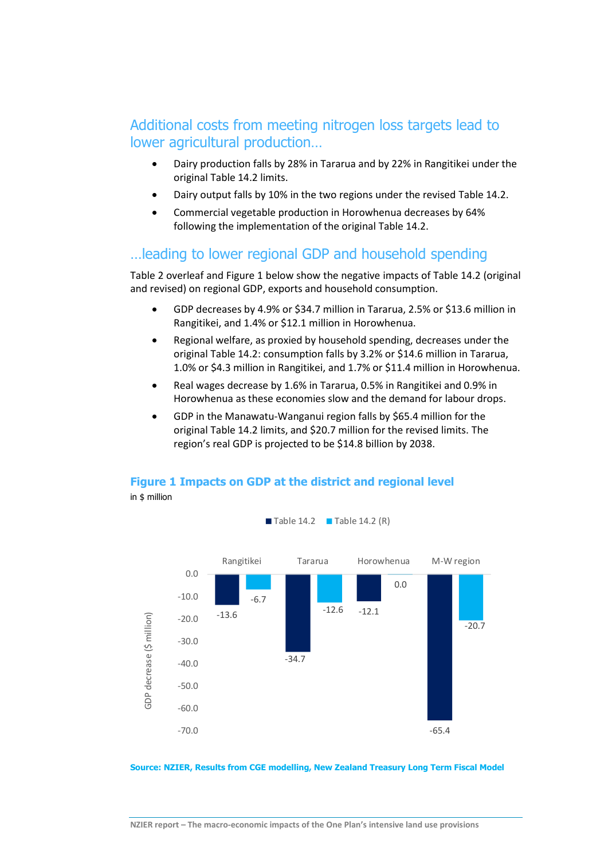# Additional costs from meeting nitrogen loss targets lead to lower agricultural production…

- Dairy production falls by 28% in Tararua and by 22% in Rangitikei under the original Table 14.2 limits.
- Dairy output falls by 10% in the two regions under the revised Table 14.2.
- Commercial vegetable production in Horowhenua decreases by 64% following the implementation of the original Table 14.2.

## …leading to lower regional GDP and household spending

[Table 2](#page-5-0) overleaf an[d Figure 1](#page-4-0) below show the negative impacts of Table 14.2 (original and revised) on regional GDP, exports and household consumption.

- GDP decreases by 4.9% or \$34.7 million in Tararua, 2.5% or \$13.6 million in Rangitikei, and 1.4% or \$12.1 million in Horowhenua.
- Regional welfare, as proxied by household spending, decreases under the original Table 14.2: consumption falls by 3.2% or \$14.6 million in Tararua, 1.0% or \$4.3 million in Rangitikei, and 1.7% or \$11.4 million in Horowhenua.
- Real wages decrease by 1.6% in Tararua, 0.5% in Rangitikei and 0.9% in Horowhenua as these economies slow and the demand for labour drops.
- GDP in the Manawatu-Wanganui region falls by \$65.4 million for the original Table 14.2 limits, and \$20.7 million for the revised limits. The region's real GDP is projected to be \$14.8 billion by 2038.

#### <span id="page-4-0"></span>**Figure 1 Impacts on GDP at the district and regional level**  in \$ million



 $\blacksquare$  Table 14.2  $\blacksquare$  Table 14.2 (R)

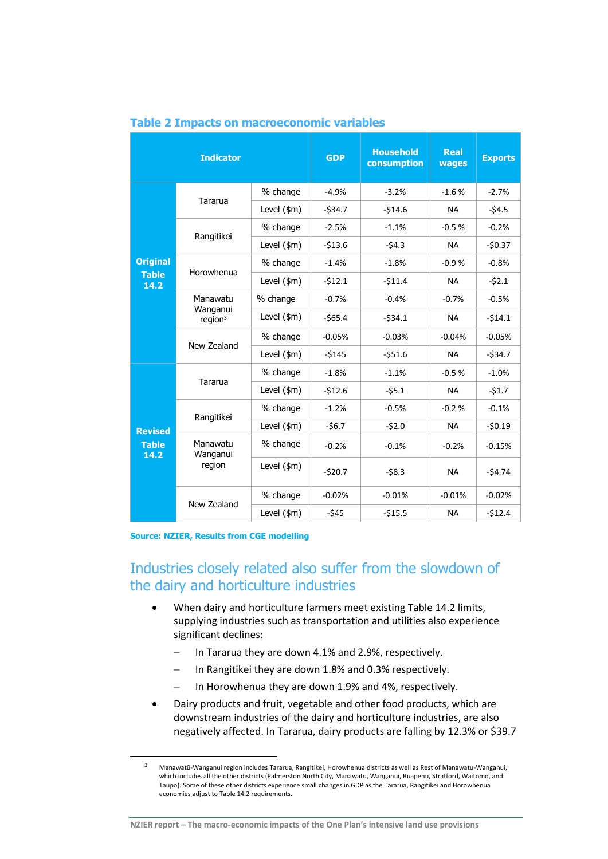|                                        | <b>Indicator</b>                   |               | <b>GDP</b> | <b>Household</b><br>consumption | Real<br>wages | <b>Exports</b> |
|----------------------------------------|------------------------------------|---------------|------------|---------------------------------|---------------|----------------|
|                                        | Tararua                            | % change      | $-4.9%$    | $-3.2%$                         | $-1.6%$       | $-2.7%$        |
|                                        |                                    | Level (\$m)   | $-534.7$   | $-514.6$                        | <b>NA</b>     | $-54.5$        |
|                                        |                                    | % change      | $-2.5%$    | $-1.1%$                         | $-0.5%$       | $-0.2%$        |
|                                        | Rangitikei                         | Level $(\$m)$ | $-513.6$   | $-54.3$                         | <b>NA</b>     | $-50.37$       |
| <b>Original</b>                        | Horowhenua                         | % change      | $-1.4%$    | $-1.8%$                         | $-0.9%$       | $-0.8%$        |
| <b>Table</b><br>14.2                   |                                    | Level $(\$m)$ | $-512.1$   | $-511.4$                        | <b>NA</b>     | $-52.1$        |
|                                        | Manawatu<br>Wanganui<br>region $3$ | % change      | $-0.7%$    | $-0.4%$                         | $-0.7%$       | $-0.5%$        |
|                                        |                                    | Level $(\$m)$ | $-565.4$   | $-534.1$                        | <b>NA</b>     | $-514.1$       |
|                                        | New Zealand                        | % change      | $-0.05%$   | $-0.03%$                        | $-0.04%$      | $-0.05%$       |
|                                        |                                    | Level $(\$m)$ | $-5145$    | $-551.6$                        | <b>NA</b>     | $-534.7$       |
|                                        | Tararua                            | % change      | $-1.8%$    | $-1.1%$                         | $-0.5%$       | $-1.0%$        |
| <b>Revised</b><br><b>Table</b><br>14.2 |                                    | Level $(\$m)$ | $-512.6$   | $-55.1$                         | <b>NA</b>     | $-51.7$        |
|                                        | Rangitikei                         | % change      | $-1.2%$    | $-0.5%$                         | $-0.2%$       | $-0.1%$        |
|                                        |                                    | Level $(\$m)$ | $-56.7$    | $-52.0$                         | <b>NA</b>     | $-50.19$       |
|                                        | Manawatu<br>Wanganui               | % change      | $-0.2%$    | $-0.1%$                         | $-0.2%$       | $-0.15%$       |
|                                        | region                             | Level $(\$m)$ | $-520.7$   | $-58.3$                         | <b>NA</b>     | $-54.74$       |
|                                        |                                    | % change      | $-0.02%$   | $-0.01%$                        | $-0.01%$      | $-0.02%$       |
|                                        | New Zealand                        | Level $(\$m)$ | $-545$     | $-515.5$                        | <b>NA</b>     | $-512.4$       |

#### <span id="page-5-0"></span>**Table 2 Impacts on macroeconomic variables**

#### **Source: NZIER, Results from CGE modelling**

**-**

# Industries closely related also suffer from the slowdown of the dairy and horticulture industries

- When dairy and horticulture farmers meet existing Table 14.2 limits, supplying industries such as transportation and utilities also experience significant declines:
	- $-$  In Tararua they are down 4.1% and 2.9%, respectively.
	- In Rangitikei they are down 1.8% and 0.3% respectively.
	- In Horowhenua they are down 1.9% and 4%, respectively.
- Dairy products and fruit, vegetable and other food products, which are downstream industries of the dairy and horticulture industries, are also negatively affected. In Tararua, dairy products are falling by 12.3% or \$39.7

<sup>3</sup> Manawatū-Wanganui region includes Tararua, Rangitikei, Horowhenua districts as well as Rest of Manawatu-Wanganui, which includes all the other districts (Palmerston North City, Manawatu, Wanganui, Ruapehu, Stratford, Waitomo, and Taupo). Some of these other districts experience small changes in GDP as the Tararua, Rangitikei and Horowhenua economies adjust to Table 14.2 requirements.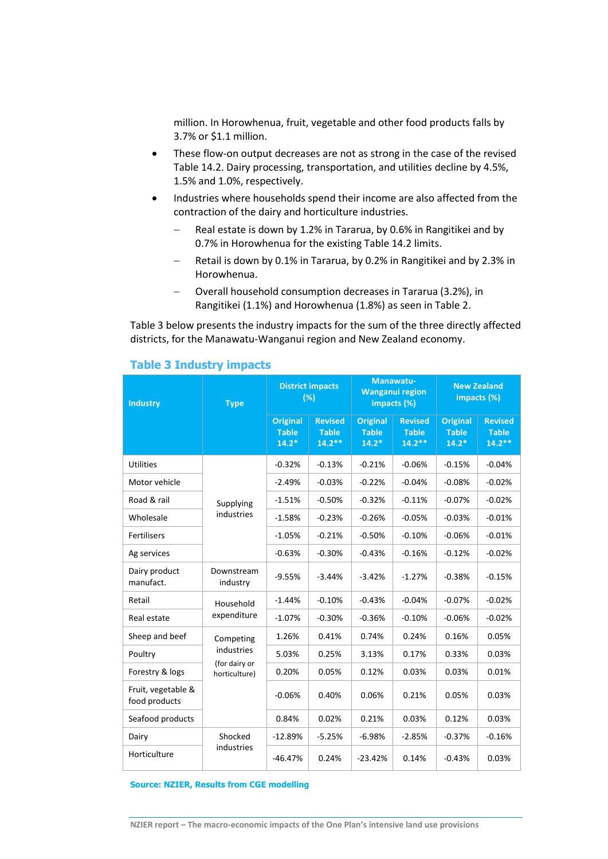million. In Horowhenua, fruit, vegetable and other food products falls by 3.7% or \$1.1 million.

- These flow-on output decreases are not as strong in the case of the revised Table 14.2. Dairy processing, transportation, and utilities decline by 4.5%, 1.5% and 1.0%, respectively.
- Industries where households spend their income are also affected from the contraction of the dairy and horticulture industries.
	- $-$  Real estate is down by 1.2% in Tararua, by 0.6% in Rangitikei and by 0.7% in Horowhenua for the existing Table 14.2 limits.
	- Retail is down by 0.1% in Tararua, by 0.2% in Rangitikei and by 2.3% in Horowhenua.
	- Overall household consumption decreases in Tararua (3.2%), in Rangitikei (1.1%) and Horowhenua (1.8%) as seen in [Table 2.](#page-5-0)

[Table 3](#page-6-0) below presents the industry impacts for the sum of the three directly affected districts, for the Manawatu-Wanganui region and New Zealand economy.

| <b>Industry</b>                     | <b>Type</b>                                  | <b>District impacts</b><br>(%)             |                                             | Manawatu-<br><b>Wanganui region</b><br>impacts (%) |                                             | <b>New Zealand</b><br>impacts (%)          |                                             |
|-------------------------------------|----------------------------------------------|--------------------------------------------|---------------------------------------------|----------------------------------------------------|---------------------------------------------|--------------------------------------------|---------------------------------------------|
|                                     |                                              | <b>Original</b><br><b>Table</b><br>$14.2*$ | <b>Revised</b><br><b>Table</b><br>$14.2***$ | <b>Original</b><br><b>Table</b><br>$14.2*$         | <b>Revised</b><br><b>Table</b><br>$14.2***$ | <b>Original</b><br><b>Table</b><br>$14.2*$ | <b>Revised</b><br><b>Table</b><br>$14.2***$ |
| <b>Utilities</b>                    |                                              | $-0.32%$                                   | $-0.13%$                                    | $-0.21%$                                           | $-0.06%$                                    | $-0.15%$                                   | $-0.04%$                                    |
| Motor vehicle                       |                                              | $-2.49%$                                   | $-0.03%$                                    | $-0.22%$                                           | $-0.04%$                                    | $-0.08%$                                   | $-0.02%$                                    |
| Road & rail                         | Supplying                                    | $-1.51%$                                   | $-0.50%$                                    | $-0.32%$                                           | $-0.11%$                                    | $-0.07%$                                   | $-0.02%$                                    |
| Wholesale                           | industries                                   | $-1.58%$                                   | $-0.23%$                                    | $-0.26%$                                           | $-0.05%$                                    | $-0.03%$                                   | $-0.01%$                                    |
| <b>Fertilisers</b>                  |                                              | $-1.05%$                                   | $-0.21%$                                    | $-0.50%$                                           | $-0.10%$                                    | $-0.06%$                                   | $-0.01%$                                    |
| Ag services                         |                                              | $-0.63%$                                   | $-0.30%$                                    | $-0.43%$                                           | $-0.16%$                                    | $-0.12%$                                   | $-0.02%$                                    |
| Dairy product<br>manufact.          | Downstream<br>industry                       | $-9.55%$                                   | $-3.44%$                                    | $-3.42%$                                           | $-1.27%$                                    | $-0.38%$                                   | $-0.15%$                                    |
| Retail                              | Household                                    | $-1.44%$                                   | $-0.10%$                                    | $-0.43%$                                           | $-0.04%$                                    | $-0.07%$                                   | $-0.02%$                                    |
| Real estate                         | expenditure                                  | $-1.07%$                                   | $-0.30%$                                    | $-0.36%$                                           | $-0.10%$                                    | $-0.06%$                                   | $-0.02%$                                    |
| Sheep and beef                      | Competing                                    | 1.26%                                      | 0.41%                                       | 0.74%                                              | 0.24%                                       | 0.16%                                      | 0.05%                                       |
| Poultry                             | industries<br>(for dairy or<br>horticulture) | 5.03%                                      | 0.25%                                       | 3.13%                                              | 0.17%                                       | 0.33%                                      | 0.03%                                       |
| Forestry & logs                     |                                              | 0.20%                                      | 0.05%                                       | 0.12%                                              | 0.03%                                       | 0.03%                                      | 0.01%                                       |
| Fruit, vegetable &<br>food products |                                              | $-0.06%$                                   | 0.40%                                       | 0.06%                                              | 0.21%                                       | 0.05%                                      | 0.03%                                       |
| Seafood products                    |                                              | 0.84%                                      | 0.02%                                       | 0.21%                                              | 0.03%                                       | 0.12%                                      | 0.03%                                       |
| Dairy                               | Shocked                                      | $-12.89%$                                  | $-5.25%$                                    | $-6.98%$                                           | $-2.85%$                                    | $-0.37%$                                   | $-0.16%$                                    |
| Horticulture                        | industries                                   | $-46.47%$                                  | 0.24%                                       | $-23.42%$                                          | 0.14%                                       | $-0.43%$                                   | 0.03%                                       |

### <span id="page-6-0"></span>**Table 3 Industry impacts**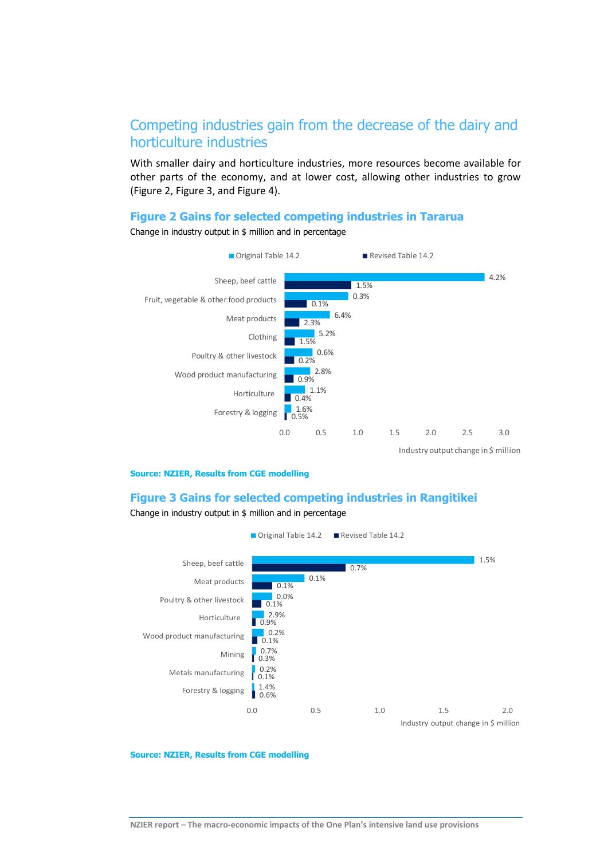# Competing industries gain from the decrease of the dairy and horticulture industries

With smaller dairy and horticulture industries, more resources become available for other parts of the economy, and at lower cost, allowing other industries to grow [\(Figure 2,](#page-7-0) [Figure 3,](#page-7-1) an[d Figure 4\)](#page-8-0).

#### <span id="page-7-0"></span>**Figure 2 Gains for selected competing industries in Tararua**



Change in industry output in \$ million and in percentage

#### **Source: NZIER, Results from CGE modelling**

#### <span id="page-7-1"></span>**Figure 3 Gains for selected competing industries in Rangitikei**

Change in industry output in \$ million and in percentage

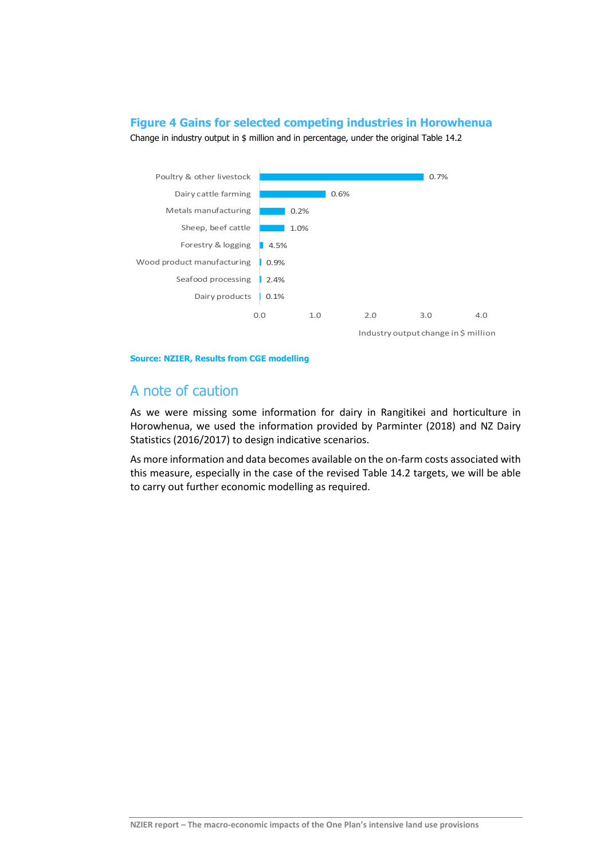### <span id="page-8-0"></span>**Figure 4 Gains for selected competing industries in Horowhenua**





Industry output change in \$ million

#### **Source: NZIER, Results from CGE modelling**

### A note of caution

As we were missing some information for dairy in Rangitikei and horticulture in Horowhenua, we used the information provided by Parminter (2018) and NZ Dairy Statistics (2016/2017) to design indicative scenarios.

As more information and data becomes available on the on-farm costs associated with this measure, especially in the case of the revised Table 14.2 targets, we will be able to carry out further economic modelling as required.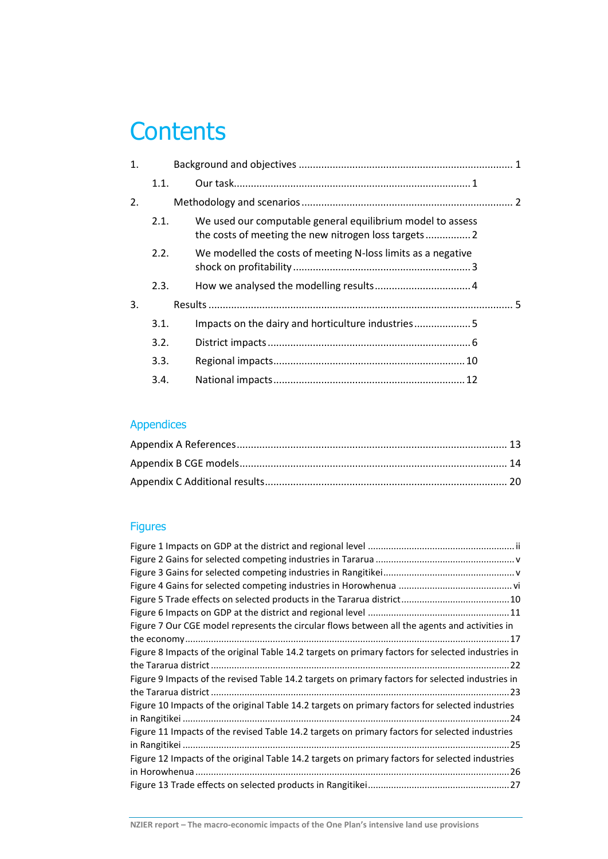# **Contents**

| 1. |      |                                                              |  |
|----|------|--------------------------------------------------------------|--|
|    | 1.1. |                                                              |  |
| 2. |      |                                                              |  |
|    | 2.1. | We used our computable general equilibrium model to assess   |  |
|    | 2.2. | We modelled the costs of meeting N-loss limits as a negative |  |
|    | 2.3. |                                                              |  |
| 3. |      |                                                              |  |
|    | 3.1. | Impacts on the dairy and horticulture industries5            |  |
|    | 3.2. |                                                              |  |
|    | 3.3. |                                                              |  |
|    | 3.4. |                                                              |  |
|    |      |                                                              |  |

# Appendices

# Figures

| Figure 7 Our CGE model represents the circular flows between all the agents and activities in     |
|---------------------------------------------------------------------------------------------------|
|                                                                                                   |
| Figure 8 Impacts of the original Table 14.2 targets on primary factors for selected industries in |
|                                                                                                   |
| Figure 9 Impacts of the revised Table 14.2 targets on primary factors for selected industries in  |
|                                                                                                   |
| Figure 10 Impacts of the original Table 14.2 targets on primary factors for selected industries   |
|                                                                                                   |
| Figure 11 Impacts of the revised Table 14.2 targets on primary factors for selected industries    |
|                                                                                                   |
| Figure 12 Impacts of the original Table 14.2 targets on primary factors for selected industries   |
|                                                                                                   |
|                                                                                                   |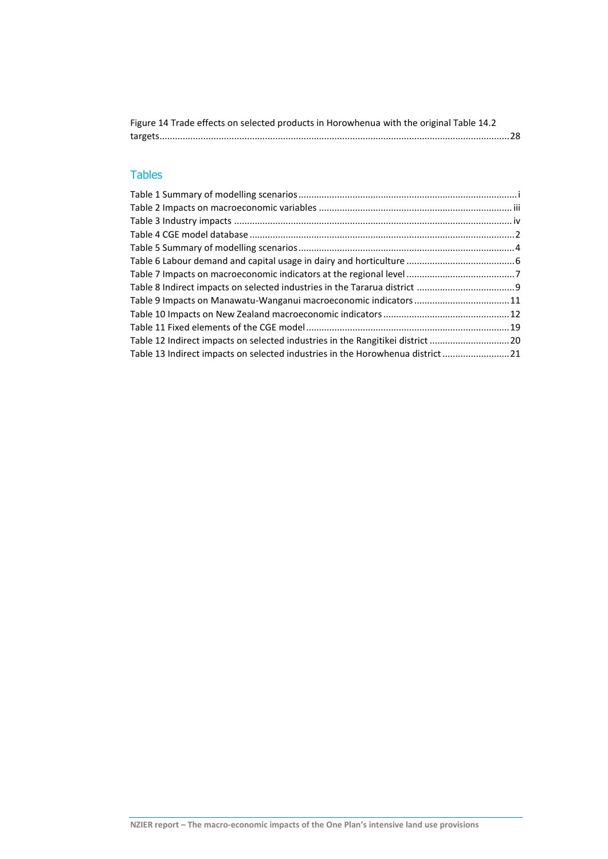| Figure 14 Trade effects on selected products in Horowhenua with the original Table 14.2 |  |
|-----------------------------------------------------------------------------------------|--|
|                                                                                         |  |

## Tables

| Table 9 Impacts on Manawatu-Wanganui macroeconomic indicators11                 |
|---------------------------------------------------------------------------------|
|                                                                                 |
|                                                                                 |
| Table 12 Indirect impacts on selected industries in the Rangitikei district 20  |
| Table 13 Indirect impacts on selected industries in the Horowhenua district  21 |
|                                                                                 |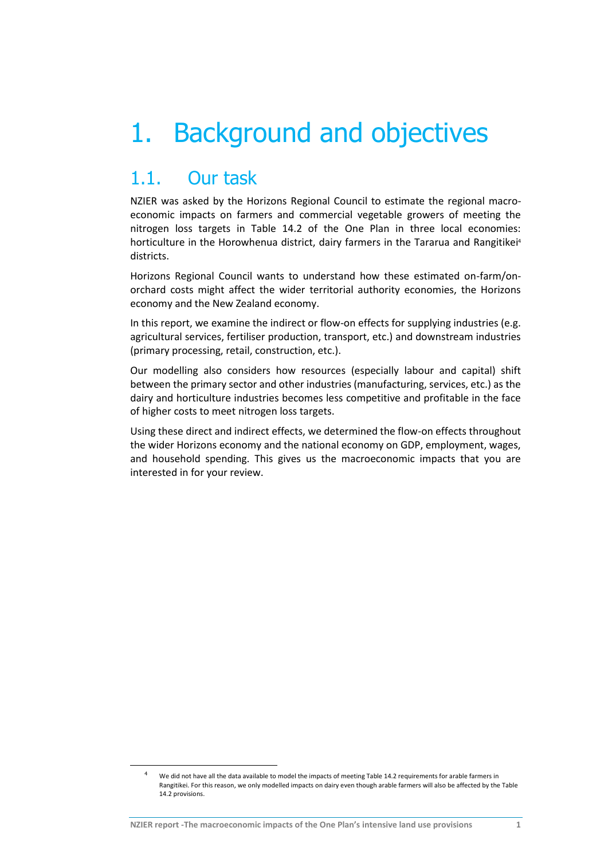# 1. Background and objectives

# 1.1. Our task

1

NZIER was asked by the Horizons Regional Council to estimate the regional macroeconomic impacts on farmers and commercial vegetable growers of meeting the nitrogen loss targets in Table 14.2 of the One Plan in three local economies: horticulture in the Horowhenua district, dairy farmers in the Tararua and Rangitikei<sup>4</sup> districts.

Horizons Regional Council wants to understand how these estimated on-farm/onorchard costs might affect the wider territorial authority economies, the Horizons economy and the New Zealand economy.

In this report, we examine the indirect or flow-on effects for supplying industries (e.g. agricultural services, fertiliser production, transport, etc.) and downstream industries (primary processing, retail, construction, etc.).

Our modelling also considers how resources (especially labour and capital) shift between the primary sector and other industries (manufacturing, services, etc.) as the dairy and horticulture industries becomes less competitive and profitable in the face of higher costs to meet nitrogen loss targets.

Using these direct and indirect effects, we determined the flow-on effects throughout the wider Horizons economy and the national economy on GDP, employment, wages, and household spending. This gives us the macroeconomic impacts that you are interested in for your review.

<sup>4</sup> We did not have all the data available to model the impacts of meeting Table 14.2 requirements for arable farmers in Rangitikei. For this reason, we only modelled impacts on dairy even though arable farmers will also be affected by the Table 14.2 provisions.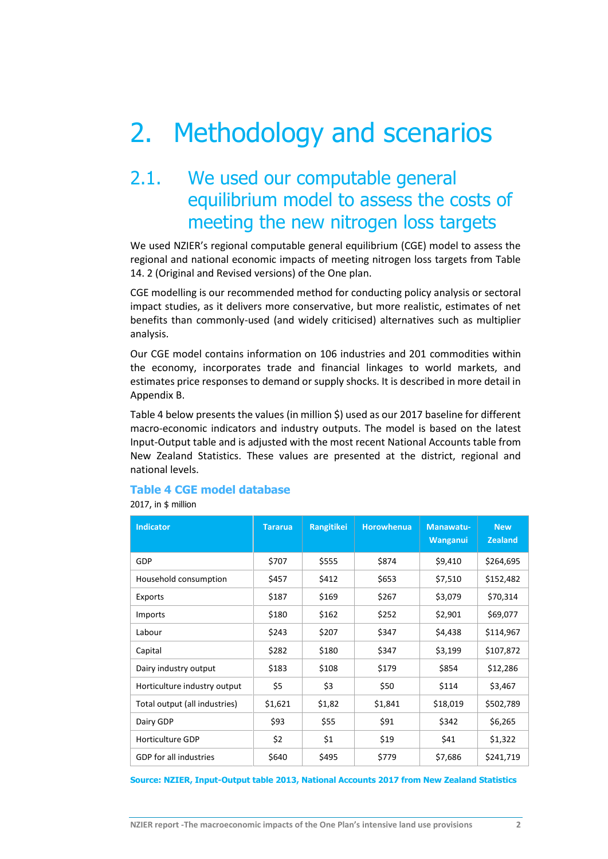# 2. Methodology and scenarios

# 2.1. We used our computable general equilibrium model to assess the costs of meeting the new nitrogen loss targets

We used NZIER's regional computable general equilibrium (CGE) model to assess the regional and national economic impacts of meeting nitrogen loss targets from Table 14. 2 (Original and Revised versions) of the One plan.

CGE modelling is our recommended method for conducting policy analysis or sectoral impact studies, as it delivers more conservative, but more realistic, estimates of net benefits than commonly-used (and widely criticised) alternatives such as multiplier analysis.

Our CGE model contains information on 106 industries and 201 commodities within the economy, incorporates trade and financial linkages to world markets, and estimates price responses to demand or supply shocks. It is described in more detail in Appendix B.

[Table 4](#page-12-0) below presents the values (in million \$) used as our 2017 baseline for different macro-economic indicators and industry outputs. The model is based on the latest Input-Output table and is adjusted with the most recent National Accounts table from New Zealand Statistics. These values are presented at the district, regional and national levels.

### <span id="page-12-0"></span>**Table 4 CGE model database**

2017, in \$ million

| <b>Indicator</b>              | <b>Tararua</b> | Rangitikei | <b>Horowhenua</b> | Manawatu-<br>Wanganui | <b>New</b><br><b>Zealand</b> |
|-------------------------------|----------------|------------|-------------------|-----------------------|------------------------------|
| <b>GDP</b>                    | \$707          | \$555      | \$874             | \$9,410               | \$264,695                    |
| Household consumption         | \$457          | \$412      | \$653             | \$7,510               | \$152,482                    |
| Exports                       | \$187          | \$169      | \$267             | \$3,079               | \$70,314                     |
| Imports                       | \$180          | \$162      | \$252             | \$2,901               | \$69,077                     |
| Labour                        | \$243          | \$207      | \$347             | \$4,438               | \$114,967                    |
| Capital                       | \$282          | \$180      | \$347             | \$3,199               | \$107,872                    |
| Dairy industry output         | \$183          | \$108      | \$179             | \$854                 | \$12,286                     |
| Horticulture industry output  | \$5            | \$3        | \$50              | \$114                 | \$3,467                      |
| Total output (all industries) | \$1,621        | \$1,82     | \$1,841           | \$18,019              | \$502,789                    |
| Dairy GDP                     | \$93           | \$55       | \$91              | \$342                 | \$6,265                      |
| Horticulture GDP              | \$2            | \$1        | \$19              | \$41                  | \$1,322                      |
| GDP for all industries        | \$640          | \$495      | \$779             | \$7,686               | \$241,719                    |

**Source: NZIER, Input-Output table 2013, National Accounts 2017 from New Zealand Statistics**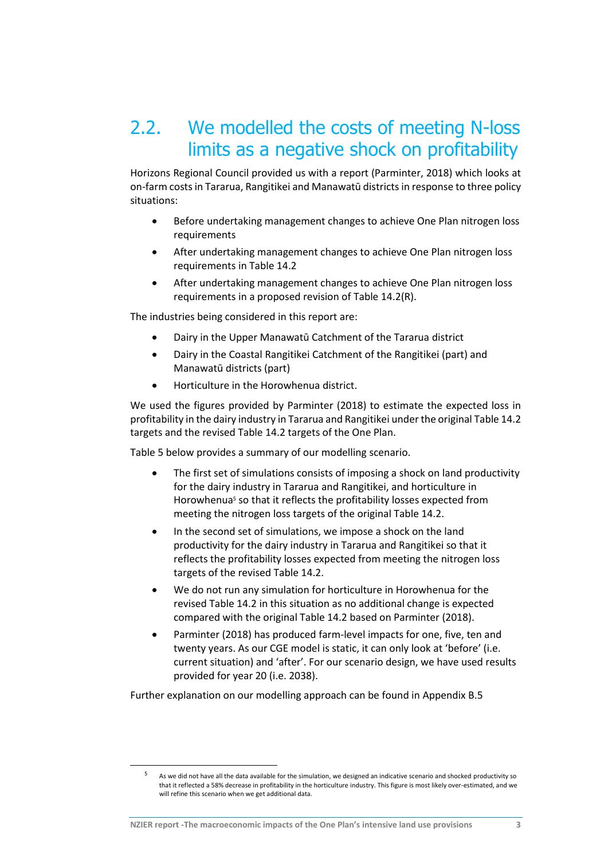# 2.2. We modelled the costs of meeting N-loss limits as a negative shock on profitability

Horizons Regional Council provided us with a report (Parminter, 2018) which looks at on-farm costs in Tararua, Rangitikei and Manawatū districtsin response to three policy situations:

- Before undertaking management changes to achieve One Plan nitrogen loss requirements
- After undertaking management changes to achieve One Plan nitrogen loss requirements in Table 14.2
- After undertaking management changes to achieve One Plan nitrogen loss requirements in a proposed revision of Table 14.2(R).

The industries being considered in this report are:

- Dairy in the Upper Manawatū Catchment of the Tararua district
- Dairy in the Coastal Rangitikei Catchment of the Rangitikei (part) and Manawatū districts (part)
- Horticulture in the Horowhenua district.

We used the figures provided by Parminter (2018) to estimate the expected loss in profitability in the dairy industry in Tararua and Rangitikei under the original Table 14.2 targets and the revised Table 14.2 targets of the One Plan.

[Table 5](#page-14-0) below provides a summary of our modelling scenario.

- The first set of simulations consists of imposing a shock on land productivity for the dairy industry in Tararua and Rangitikei, and horticulture in Horowhenua<sup>5</sup> so that it reflects the profitability losses expected from meeting the nitrogen loss targets of the original Table 14.2.
- In the second set of simulations, we impose a shock on the land productivity for the dairy industry in Tararua and Rangitikei so that it reflects the profitability losses expected from meeting the nitrogen loss targets of the revised Table 14.2.
- We do not run any simulation for horticulture in Horowhenua for the revised Table 14.2 in this situation as no additional change is expected compared with the original Table 14.2 based on Parminter (2018).
- Parminter (2018) has produced farm-level impacts for one, five, ten and twenty years. As our CGE model is static, it can only look at 'before' (i.e. current situation) and 'after'. For our scenario design, we have used results provided for year 20 (i.e. 2038).

Further explanation on our modelling approach can be found in Appendi[x B.5](#page-27-0)

1

As we did not have all the data available for the simulation, we designed an indicative scenario and shocked productivity so that it reflected a 58% decrease in profitability in the horticulture industry. This figure is most likely over-estimated, and we will refine this scenario when we get additional data.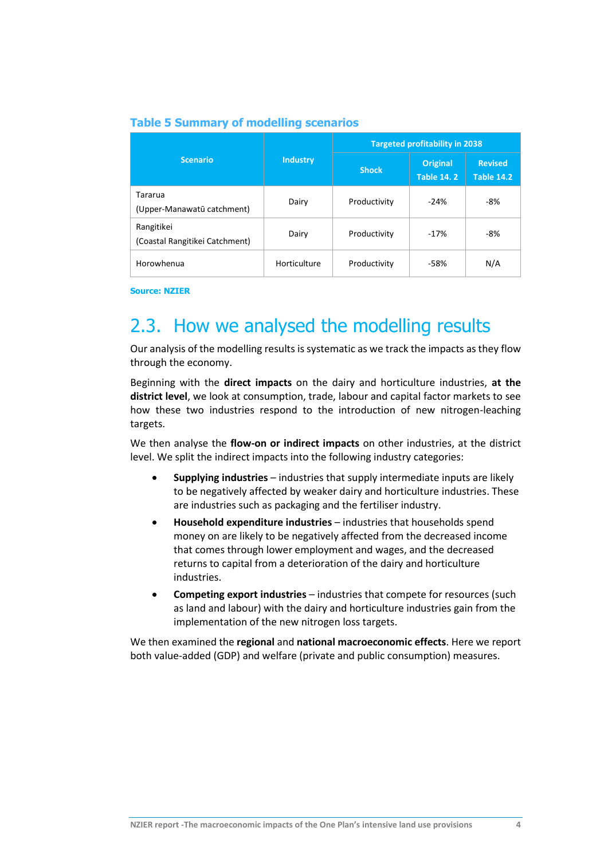<span id="page-14-0"></span>

| <b>Table 5 Summary of modelling scenarios</b> |
|-----------------------------------------------|
|-----------------------------------------------|

|                                              |                 | <b>Targeted profitability in 2038</b> |                                      |                                     |  |
|----------------------------------------------|-----------------|---------------------------------------|--------------------------------------|-------------------------------------|--|
| <b>Scenario</b>                              | <b>Industry</b> | <b>Shock</b>                          | <b>Original</b><br><b>Table 14.2</b> | <b>Revised</b><br><b>Table 14.2</b> |  |
| Tararua<br>(Upper-Manawatū catchment)        | Dairy           | Productivity                          | $-24%$                               | $-8%$                               |  |
| Rangitikei<br>(Coastal Rangitikei Catchment) | Dairy           | Productivity                          | $-17%$                               | $-8%$                               |  |
| Horowhenua                                   | Horticulture    | Productivity                          | $-58%$                               | N/A                                 |  |

**Source: NZIER**

# 2.3. How we analysed the modelling results

Our analysis of the modelling results is systematic as we track the impacts as they flow through the economy.

Beginning with the **direct impacts** on the dairy and horticulture industries, **at the district level**, we look at consumption, trade, labour and capital factor markets to see how these two industries respond to the introduction of new nitrogen-leaching targets.

We then analyse the **flow-on or indirect impacts** on other industries, at the district level. We split the indirect impacts into the following industry categories:

- **Supplying industries** industries that supply intermediate inputs are likely to be negatively affected by weaker dairy and horticulture industries. These are industries such as packaging and the fertiliser industry.
- **Household expenditure industries** industries that households spend money on are likely to be negatively affected from the decreased income that comes through lower employment and wages, and the decreased returns to capital from a deterioration of the dairy and horticulture industries.
- **Competing export industries** industries that compete for resources (such as land and labour) with the dairy and horticulture industries gain from the implementation of the new nitrogen loss targets.

We then examined the **regional** and **national macroeconomic effects**. Here we report both value-added (GDP) and welfare (private and public consumption) measures.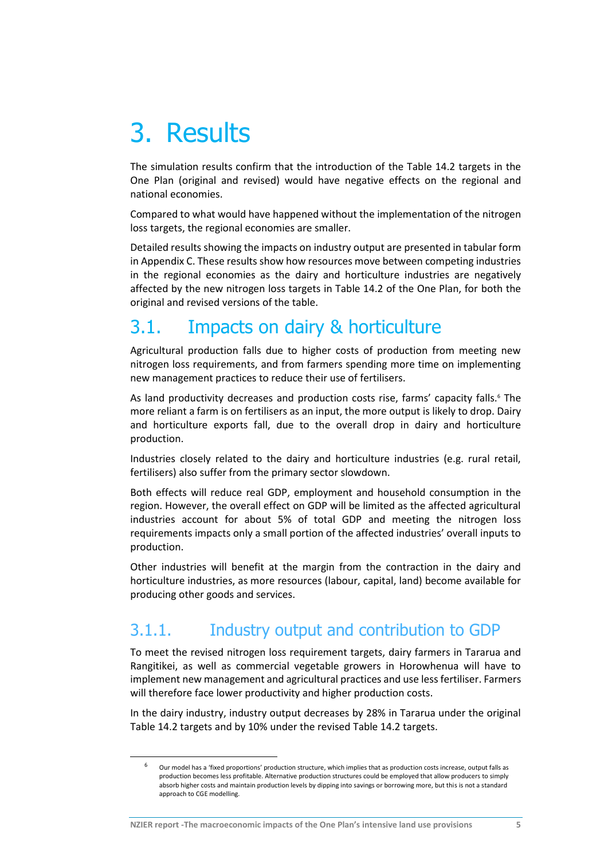# 3. Results

The simulation results confirm that the introduction of the Table 14.2 targets in the One Plan (original and revised) would have negative effects on the regional and national economies.

Compared to what would have happened without the implementation of the nitrogen loss targets, the regional economies are smaller.

Detailed results showing the impacts on industry output are presented in tabular form in [Appendix C.](#page-30-0) These results show how resources move between competing industries in the regional economies as the dairy and horticulture industries are negatively affected by the new nitrogen loss targets in Table 14.2 of the One Plan, for both the original and revised versions of the table.

# 3.1. Impacts on dairy & horticulture

Agricultural production falls due to higher costs of production from meeting new nitrogen loss requirements, and from farmers spending more time on implementing new management practices to reduce their use of fertilisers.

As land productivity decreases and production costs rise, farms' capacity falls.<sup>6</sup> The more reliant a farm is on fertilisers as an input, the more output is likely to drop. Dairy and horticulture exports fall, due to the overall drop in dairy and horticulture production.

Industries closely related to the dairy and horticulture industries (e.g. rural retail, fertilisers) also suffer from the primary sector slowdown.

Both effects will reduce real GDP, employment and household consumption in the region. However, the overall effect on GDP will be limited as the affected agricultural industries account for about 5% of total GDP and meeting the nitrogen loss requirements impacts only a small portion of the affected industries' overall inputs to production.

Other industries will benefit at the margin from the contraction in the dairy and horticulture industries, as more resources (labour, capital, land) become available for producing other goods and services.

# 3.1.1. Industry output and contribution to GDP

To meet the revised nitrogen loss requirement targets, dairy farmers in Tararua and Rangitikei, as well as commercial vegetable growers in Horowhenua will have to implement new management and agricultural practices and use less fertiliser. Farmers will therefore face lower productivity and higher production costs.

In the dairy industry, industry output decreases by 28% in Tararua under the original Table 14.2 targets and by 10% under the revised Table 14.2 targets.

**-**

 $6$  Our model has a 'fixed proportions' production structure, which implies that as production costs increase, output falls as production becomes less profitable. Alternative production structures could be employed that allow producers to simply absorb higher costs and maintain production levels by dipping into savings or borrowing more, but this is not a standard approach to CGE modelling.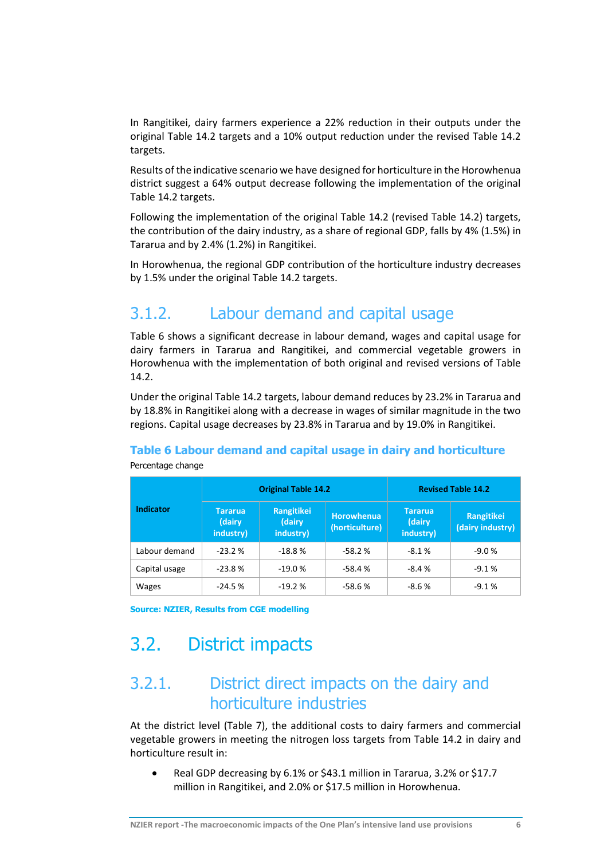In Rangitikei, dairy farmers experience a 22% reduction in their outputs under the original Table 14.2 targets and a 10% output reduction under the revised Table 14.2 targets.

Results of the indicative scenario we have designed for horticulture in the Horowhenua district suggest a 64% output decrease following the implementation of the original Table 14.2 targets.

Following the implementation of the original Table 14.2 (revised Table 14.2) targets, the contribution of the dairy industry, as a share of regional GDP, falls by 4% (1.5%) in Tararua and by 2.4% (1.2%) in Rangitikei.

In Horowhenua, the regional GDP contribution of the horticulture industry decreases by 1.5% under the original Table 14.2 targets.

# 3.1.2. Labour demand and capital usage

[Table 6](#page-16-0) shows a significant decrease in labour demand, wages and capital usage for dairy farmers in Tararua and Rangitikei, and commercial vegetable growers in Horowhenua with the implementation of both original and revised versions of Table 14.2.

Under the original Table 14.2 targets, labour demand reduces by 23.2% in Tararua and by 18.8% in Rangitikei along with a decrease in wages of similar magnitude in the two regions. Capital usage decreases by 23.8% in Tararua and by 19.0% in Rangitikei.

# <span id="page-16-0"></span>**Table 6 Labour demand and capital usage in dairy and horticulture**

|                  |                                       | <b>Original Table 14.2</b>        | <b>Revised Table 14.2</b>           |                                       |                                |
|------------------|---------------------------------------|-----------------------------------|-------------------------------------|---------------------------------------|--------------------------------|
| <b>Indicator</b> | <b>Tararua</b><br>(dairy<br>industry) | Rangitikei<br>(dairy<br>industry) | <b>Horowhenua</b><br>(horticulture) | <b>Tararua</b><br>(dairy<br>industry) | Rangitikei<br>(dairy industry) |
| Labour demand    | $-23.2%$                              | $-18.8%$                          | $-58.2%$                            | $-8.1%$                               | $-9.0%$                        |
| Capital usage    | $-23.8%$                              | $-19.0%$                          | $-58.4%$                            | $-8.4%$                               | $-9.1%$                        |
| Wages            | $-24.5%$                              | $-19.2%$                          | $-58.6%$                            | $-8.6%$                               | $-9.1%$                        |

Percentage change

**Source: NZIER, Results from CGE modelling**

# 3.2. District impacts

# 3.2.1. District direct impacts on the dairy and horticulture industries

At the district level [\(Table 7\)](#page-17-0), the additional costs to dairy farmers and commercial vegetable growers in meeting the nitrogen loss targets from Table 14.2 in dairy and horticulture result in:

• Real GDP decreasing by 6.1% or \$43.1 million in Tararua, 3.2% or \$17.7 million in Rangitikei, and 2.0% or \$17.5 million in Horowhenua.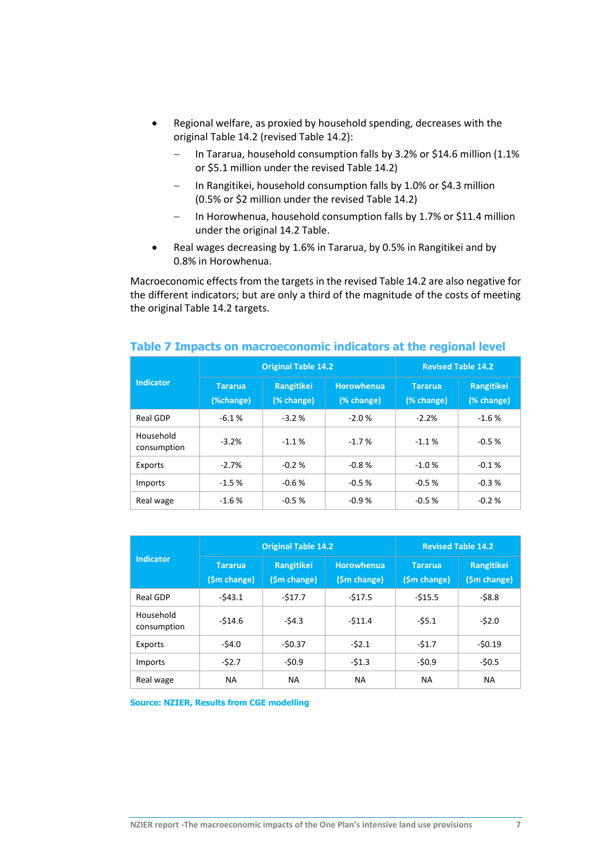- Regional welfare, as proxied by household spending, decreases with the original Table 14.2 (revised Table 14.2):
	- In Tararua, household consumption falls by 3.2% or \$14.6 million (1.1% or \$5.1 million under the revised Table 14.2)
	- $-$  In Rangitikei, household consumption falls by 1.0% or \$4.3 million (0.5% or \$2 million under the revised Table 14.2)
	- In Horowhenua, household consumption falls by 1.7% or \$11.4 million under the original 14.2 Table.
- Real wages decreasing by 1.6% in Tararua, by 0.5% in Rangitikei and by 0.8% in Horowhenua.

Macroeconomic effects from the targets in the revised Table 14.2 are also negative for the different indicators; but are only a third of the magnitude of the costs of meeting the original Table 14.2 targets.

|                          |                             | <b>Original Table 14.2</b> | <b>Revised Table 14.2</b>       |                              |                          |
|--------------------------|-----------------------------|----------------------------|---------------------------------|------------------------------|--------------------------|
| <b>Indicator</b>         | <b>Tararua</b><br>(%change) | Rangitikei<br>(% change)   | <b>Horowhenua</b><br>(% change) | <b>Tararua</b><br>(% change) | Rangitikei<br>(% change) |
| Real GDP                 | $-6.1%$                     | $-3.2%$                    | $-2.0%$                         | $-2.2%$                      | $-1.6%$                  |
| Household<br>consumption | $-3.2%$                     | $-1.1%$                    | $-1.7%$                         | $-1.1%$                      | $-0.5%$                  |
| Exports                  | $-2.7%$                     | $-0.2%$                    | $-0.8%$                         | $-1.0%$                      | $-0.1%$                  |
| Imports                  | $-1.5%$                     | $-0.6%$                    | $-0.5%$                         | $-0.5%$                      | $-0.3%$                  |
| Real wage                | $-1.6%$                     | $-0.5%$                    | $-0.9%$                         | $-0.5%$                      | $-0.2%$                  |

#### <span id="page-17-0"></span>**Table 7 Impacts on macroeconomic indicators at the regional level**

|                          |                                | <b>Original Table 14.2</b> | <b>Revised Table 14.2</b>  |                                |                            |
|--------------------------|--------------------------------|----------------------------|----------------------------|--------------------------------|----------------------------|
| <b>Indicator</b>         | <b>Tararua</b><br>(\$m change) | Rangitikei<br>(\$m change) | Horowhenua<br>(\$m change) | <b>Tararua</b><br>(\$m change) | Rangitikei<br>(\$m change) |
| Real GDP                 | $-543.1$                       | $-517.7$                   | $-517.5$                   | $-515.5$                       | $-58.8$                    |
| Household<br>consumption | $-514.6$                       | $-54.3$                    | $-511.4$                   | $-55.1$                        | $-52.0$                    |
| Exports                  | $-54.0$                        | $-50.37$                   | $-52.1$                    | $-51.7$                        | $-50.19$                   |
| Imports                  | $-52.7$                        | $-50.9$                    | $-51.3$                    | $-50.9$                        | $-50.5$                    |
| Real wage                | NА                             | NА                         | NА                         | <b>NA</b>                      | <b>NA</b>                  |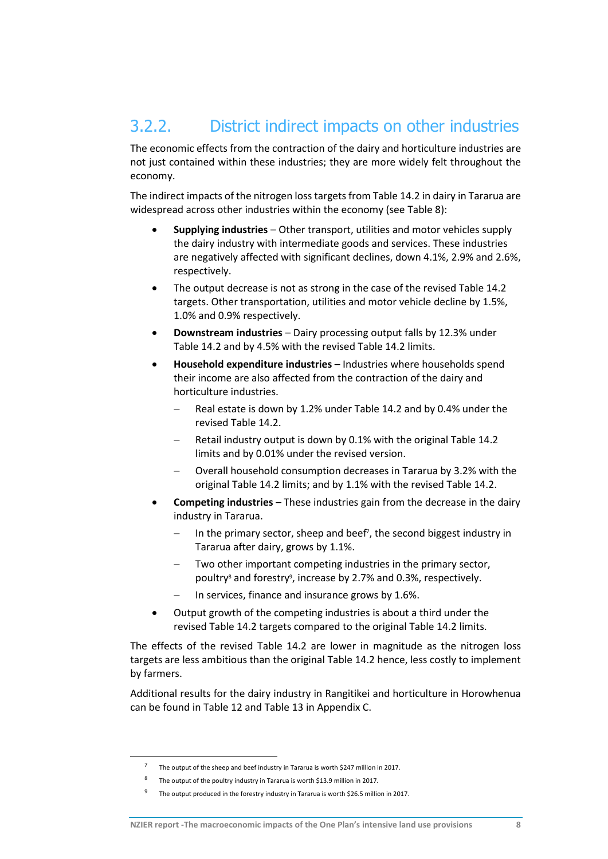# 3.2.2. District indirect impacts on other industries

The economic effects from the contraction of the dairy and horticulture industries are not just contained within these industries; they are more widely felt throughout the economy.

The indirect impacts of the nitrogen loss targets from Table 14.2 in dairy in Tararua are widespread across other industries within the economy (see [Table 8\)](#page-19-0):

- **Supplying industries** Other transport, utilities and motor vehicles supply the dairy industry with intermediate goods and services. These industries are negatively affected with significant declines, down 4.1%, 2.9% and 2.6%, respectively.
- The output decrease is not as strong in the case of the revised Table 14.2 targets. Other transportation, utilities and motor vehicle decline by 1.5%, 1.0% and 0.9% respectively.
- **Downstream industries** Dairy processing output falls by 12.3% under Table 14.2 and by 4.5% with the revised Table 14.2 limits.
- **Household expenditure industries** Industries where households spend their income are also affected from the contraction of the dairy and horticulture industries.
	- Real estate is down by 1.2% under Table 14.2 and by 0.4% under the revised Table 14.2.
	- Retail industry output is down by 0.1% with the original Table 14.2 limits and by 0.01% under the revised version.
	- Overall household consumption decreases in Tararua by 3.2% with the original Table 14.2 limits; and by 1.1% with the revised Table 14.2.
- **Competing industries** These industries gain from the decrease in the dairy industry in Tararua.
	- In the primary sector, sheep and beef<sup>7</sup>, the second biggest industry in Tararua after dairy, grows by 1.1%.
	- Two other important competing industries in the primary sector, poultry<sup>8</sup> and forestry<sup>9</sup>, increase by 2.7% and 0.3%, respectively.
	- In services, finance and insurance grows by 1.6%.
- Output growth of the competing industries is about a third under the revised Table 14.2 targets compared to the original Table 14.2 limits.

The effects of the revised Table 14.2 are lower in magnitude as the nitrogen loss targets are less ambitious than the original Table 14.2 hence, less costly to implement by farmers.

Additional results for the dairy industry in Rangitikei and horticulture in Horowhenua can be found in [Table 12](#page-30-1) and [Table 13](#page-31-0) in Appendix C.

1

<sup>&</sup>lt;sup>7</sup> The output of the sheep and beef industry in Tararua is worth \$247 million in 2017.

<sup>8</sup> The output of the poultry industry in Tararua is worth \$13.9 million in 2017.

<sup>9</sup> The output produced in the forestry industry in Tararua is worth \$26.5 million in 2017.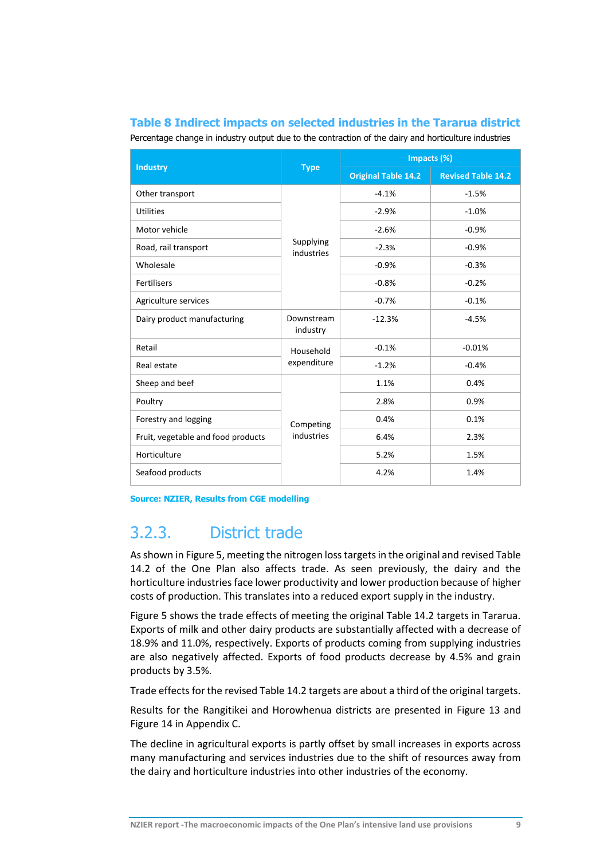### <span id="page-19-0"></span>**Table 8 Indirect impacts on selected industries in the Tararua district**

Percentage change in industry output due to the contraction of the dairy and horticulture industries

| <b>Industry</b>                    | <b>Type</b>             | Impacts (%)                |                           |  |
|------------------------------------|-------------------------|----------------------------|---------------------------|--|
|                                    |                         | <b>Original Table 14.2</b> | <b>Revised Table 14.2</b> |  |
| Other transport                    |                         | $-4.1%$                    | $-1.5%$                   |  |
| <b>Utilities</b>                   |                         | $-2.9%$                    | $-1.0%$                   |  |
| Motor vehicle                      |                         | $-2.6%$                    | $-0.9%$                   |  |
| Road, rail transport               | Supplying<br>industries | $-2.3%$                    | $-0.9%$                   |  |
| Wholesale                          |                         | $-0.9%$                    | $-0.3%$                   |  |
| <b>Fertilisers</b>                 |                         | $-0.8%$                    | $-0.2%$                   |  |
| Agriculture services               |                         | $-0.7%$                    | $-0.1%$                   |  |
| Dairy product manufacturing        | Downstream<br>industry  | $-12.3%$                   | $-4.5%$                   |  |
| Retail                             | Household               | $-0.1%$                    | $-0.01%$                  |  |
| Real estate                        | expenditure             | $-1.2%$                    | $-0.4%$                   |  |
| Sheep and beef                     | Competing<br>industries | 1.1%                       | 0.4%                      |  |
| Poultry                            |                         | 2.8%                       | 0.9%                      |  |
| Forestry and logging               |                         | 0.4%                       | 0.1%                      |  |
| Fruit, vegetable and food products |                         | 6.4%                       | 2.3%                      |  |
| Horticulture                       |                         | 5.2%                       | 1.5%                      |  |
| Seafood products                   |                         | 4.2%                       | 1.4%                      |  |

**Source: NZIER, Results from CGE modelling**

# 3.2.3. District trade

As shown i[n Figure 5,](#page-20-0) meeting the nitrogen losstargets in the original and revised Table 14.2 of the One Plan also affects trade. As seen previously, the dairy and the horticulture industries face lower productivity and lower production because of higher costs of production. This translates into a reduced export supply in the industry.

[Figure 5](#page-20-0) shows the trade effects of meeting the original Table 14.2 targets in Tararua. Exports of milk and other dairy products are substantially affected with a decrease of 18.9% and 11.0%, respectively. Exports of products coming from supplying industries are also negatively affected. Exports of food products decrease by 4.5% and grain products by 3.5%.

Trade effects for the revised Table 14.2 targets are about a third of the original targets.

Results for the Rangitikei and Horowhenua districts are presented in [Figure 13](#page-37-0) and [Figure 14](#page-38-0) in Appendix C.

The decline in agricultural exports is partly offset by small increases in exports across many manufacturing and services industries due to the shift of resources away from the dairy and horticulture industries into other industries of the economy.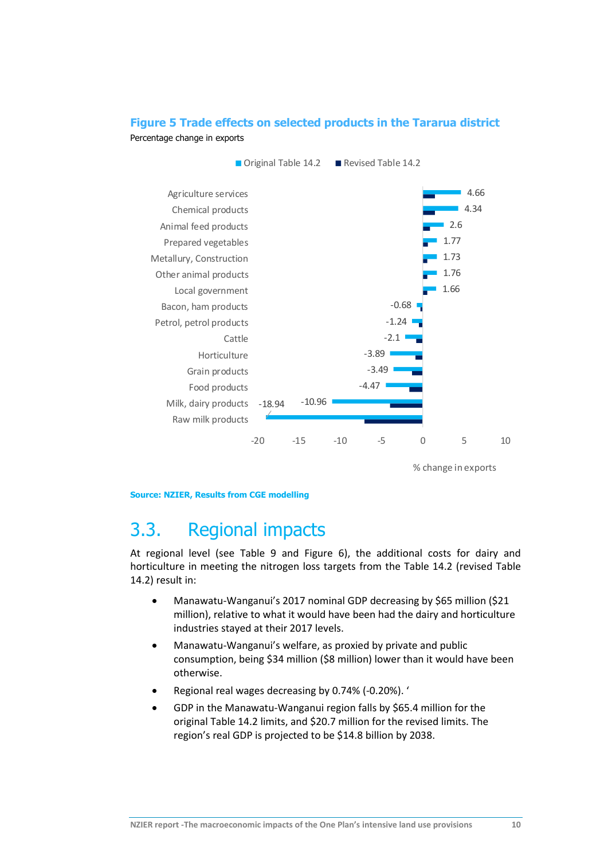### <span id="page-20-0"></span>**Figure 5 Trade effects on selected products in the Tararua district** Percentage change in exports



% change in exports

#### **Source: NZIER, Results from CGE modelling**

# 3.3. Regional impacts

At regional level (see [Table 9](#page-21-0) and [Figure 6\)](#page-21-1), the additional costs for dairy and horticulture in meeting the nitrogen loss targets from the Table 14.2 (revised Table 14.2) result in:

- Manawatu-Wanganui's 2017 nominal GDP decreasing by \$65 million (\$21 million), relative to what it would have been had the dairy and horticulture industries stayed at their 2017 levels.
- Manawatu-Wanganui's welfare, as proxied by private and public consumption, being \$34 million (\$8 million) lower than it would have been otherwise.
- Regional real wages decreasing by 0.74% (-0.20%). '
- GDP in the Manawatu-Wanganui region falls by \$65.4 million for the original Table 14.2 limits, and \$20.7 million for the revised limits. The region's real GDP is projected to be \$14.8 billion by 2038.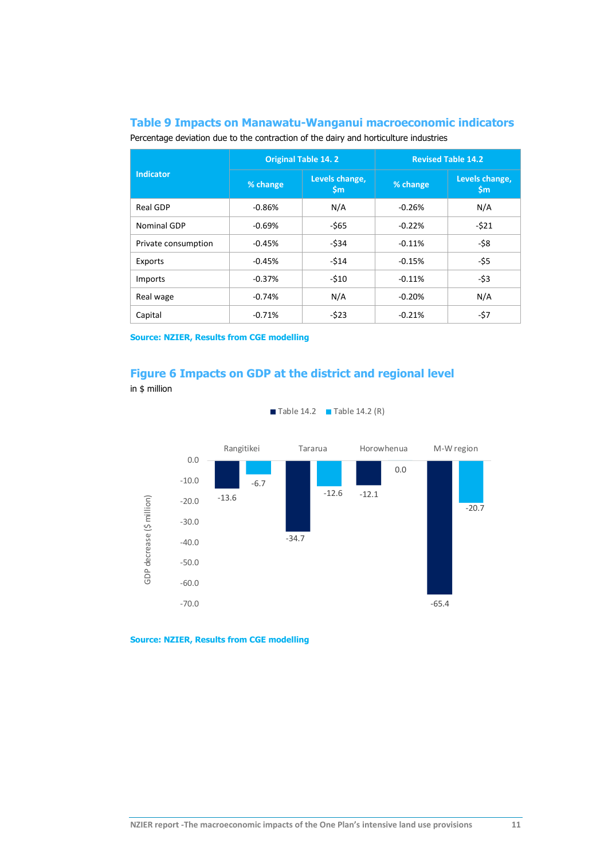### <span id="page-21-0"></span>**Table 9 Impacts on Manawatu-Wanganui macroeconomic indicators**

Percentage deviation due to the contraction of the dairy and horticulture industries

|                     |          | <b>Original Table 14.2</b>      | <b>Revised Table 14.2</b> |                                 |  |
|---------------------|----------|---------------------------------|---------------------------|---------------------------------|--|
| <b>Indicator</b>    | % change | Levels change,<br>$\mathsf{Sm}$ | % change                  | Levels change,<br>$\mathsf{Sm}$ |  |
| Real GDP            | $-0.86%$ | N/A                             | $-0.26%$                  | N/A                             |  |
| Nominal GDP         | $-0.69%$ | -\$65                           | $-0.22%$                  | $-521$                          |  |
| Private consumption | $-0.45%$ | $-534$                          | $-0.11%$                  | -\$8                            |  |
| Exports             | $-0.45%$ | $-514$                          | $-0.15%$                  | -\$5                            |  |
| Imports             | $-0.37%$ | $-510$                          | $-0.11%$                  | $-53$                           |  |
| Real wage           | $-0.74%$ | N/A                             | $-0.20%$                  | N/A                             |  |
| Capital             | $-0.71%$ | $-523$                          | $-0.21%$                  | -\$7                            |  |

**Source: NZIER, Results from CGE modelling**

### <span id="page-21-1"></span>**Figure 6 Impacts on GDP at the district and regional level** in \$ million



Table 14.2 Table 14.2  $(R)$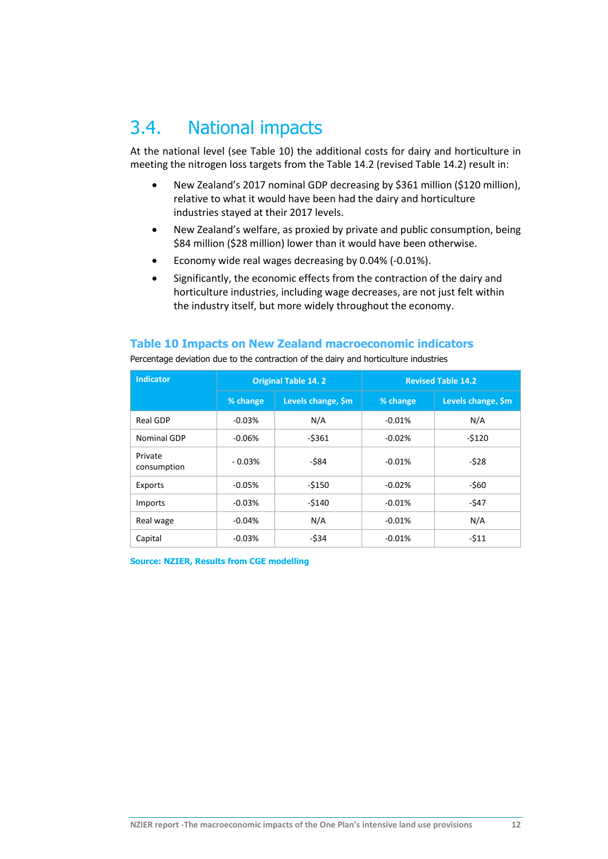# 3.4. National impacts

At the national level (see [Table 10\)](#page-22-0) the additional costs for dairy and horticulture in meeting the nitrogen loss targets from the Table 14.2 (revised Table 14.2) result in:

- New Zealand's 2017 nominal GDP decreasing by \$361 million (\$120 million), relative to what it would have been had the dairy and horticulture industries stayed at their 2017 levels.
- New Zealand's welfare, as proxied by private and public consumption, being \$84 million (\$28 million) lower than it would have been otherwise.
- Economy wide real wages decreasing by 0.04% (-0.01%).
- Significantly, the economic effects from the contraction of the dairy and horticulture industries, including wage decreases, are not just felt within the industry itself, but more widely throughout the economy.

### <span id="page-22-0"></span>**Table 10 Impacts on New Zealand macroeconomic indicators**

| <b>Indicator</b>       | <b>Original Table 14.2</b> |                    | <b>Revised Table 14.2</b> |                    |  |
|------------------------|----------------------------|--------------------|---------------------------|--------------------|--|
|                        | % change                   | Levels change, \$m | % change                  | Levels change, \$m |  |
| <b>Real GDP</b>        | $-0.03%$                   | N/A                | $-0.01%$                  | N/A                |  |
| Nominal GDP            | $-0.06%$                   | $-5361$            | $-0.02%$                  | $-5120$            |  |
| Private<br>consumption | $-0.03%$                   | $-584$             | $-0.01%$                  | $-528$             |  |
| Exports                | $-0.05%$                   | $-5150$            | $-0.02%$                  | $-560$             |  |
| Imports                | $-0.03%$                   | $-5140$            | $-0.01%$                  | -\$47              |  |
| Real wage              | $-0.04%$                   | N/A                | $-0.01%$                  | N/A                |  |
| Capital                | $-0.03%$                   | $-$ \$34           | $-0.01%$                  | $-511$             |  |

Percentage deviation due to the contraction of the dairy and horticulture industries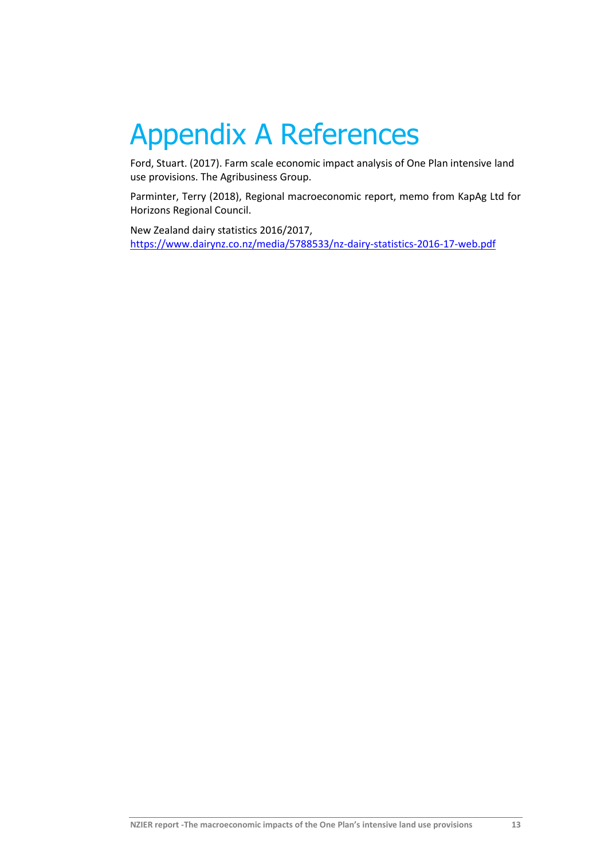# <span id="page-23-0"></span>Appendix A References

Ford, Stuart. (2017). Farm scale economic impact analysis of One Plan intensive land use provisions. The Agribusiness Group.

Parminter, Terry (2018), Regional macroeconomic report, memo from KapAg Ltd for Horizons Regional Council.

New Zealand dairy statistics 2016/2017, <https://www.dairynz.co.nz/media/5788533/nz-dairy-statistics-2016-17-web.pdf>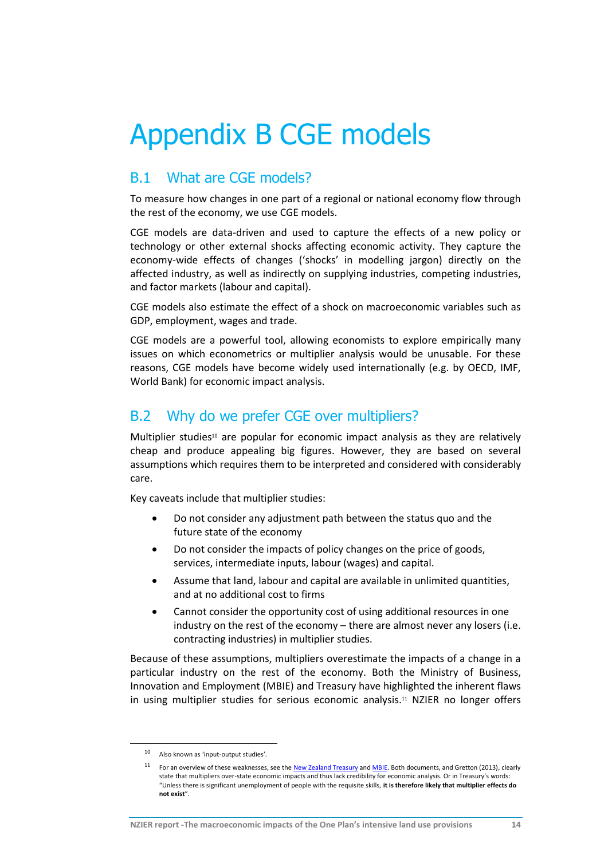# <span id="page-24-0"></span>Appendix B CGE models

## B.1 What are CGE models?

To measure how changes in one part of a regional or national economy flow through the rest of the economy, we use CGE models.

CGE models are data-driven and used to capture the effects of a new policy or technology or other external shocks affecting economic activity. They capture the economy-wide effects of changes ('shocks' in modelling jargon) directly on the affected industry, as well as indirectly on supplying industries, competing industries, and factor markets (labour and capital).

CGE models also estimate the effect of a shock on macroeconomic variables such as GDP, employment, wages and trade.

CGE models are a powerful tool, allowing economists to explore empirically many issues on which econometrics or multiplier analysis would be unusable. For these reasons, CGE models have become widely used internationally (e.g. by OECD, IMF, World Bank) for economic impact analysis.

# B.2 Why do we prefer CGE over multipliers?

Multiplier studies<sup>10</sup> are popular for economic impact analysis as they are relatively cheap and produce appealing big figures. However, they are based on several assumptions which requires them to be interpreted and considered with considerably care.

Key caveats include that multiplier studies:

- Do not consider any adjustment path between the status quo and the future state of the economy
- Do not consider the impacts of policy changes on the price of goods, services, intermediate inputs, labour (wages) and capital.
- Assume that land, labour and capital are available in unlimited quantities, and at no additional cost to firms
- Cannot consider the opportunity cost of using additional resources in one industry on the rest of the economy – there are almost never any losers (i.e. contracting industries) in multiplier studies.

Because of these assumptions, multipliers overestimate the impacts of a change in a particular industry on the rest of the economy. Both the Ministry of Business, Innovation and Employment (MBIE) and Treasury have highlighted the inherent flaws in using multiplier studies for serious economic analysis.<sup>11</sup> NZIER no longer offers

**.** 

<sup>10</sup> Also known as 'input-output studies'.

<sup>&</sup>lt;sup>11</sup> For an overview of these weaknesses, see th[e New Zealand Treasury](http://www.treasury.govt.nz/publications/guidance/planning/costbenefitanalysis/guide/cba-guide-jul15.pdf) an[d MBIE.](http://www.majorevents.govt.nz/pdf-library/resource-bank/post-event-reporting/post-event-economic-evaluation-guidelines-320-kb-pdf) Both documents, and Gretton (2013), clearly state that multipliers over-state economic impacts and thus lack credibility for economic analysis. Or in Treasury's words: "Unless there is significant unemployment of people with the requisite skills, **it is therefore likely that multiplier effects do not exist**".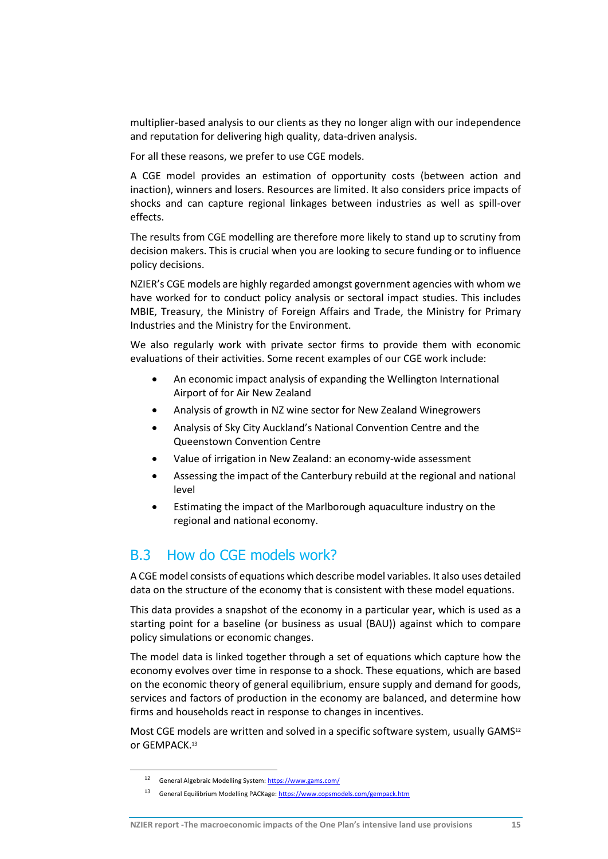multiplier-based analysis to our clients as they no longer align with our independence and reputation for delivering high quality, data-driven analysis.

For all these reasons, we prefer to use CGE models.

A CGE model provides an estimation of opportunity costs (between action and inaction), winners and losers. Resources are limited. It also considers price impacts of shocks and can capture regional linkages between industries as well as spill-over effects.

The results from CGE modelling are therefore more likely to stand up to scrutiny from decision makers. This is crucial when you are looking to secure funding or to influence policy decisions.

NZIER's CGE models are highly regarded amongst government agencies with whom we have worked for to conduct policy analysis or sectoral impact studies. This includes MBIE, Treasury, the Ministry of Foreign Affairs and Trade, the Ministry for Primary Industries and the Ministry for the Environment.

We also regularly work with private sector firms to provide them with economic evaluations of their activities. Some recent examples of our CGE work include:

- An economic impact analysis of expanding the Wellington International Airport of for Air New Zealand
- Analysis of growth in NZ wine sector for New Zealand Winegrowers
- Analysis of Sky City Auckland's National Convention Centre and the Queenstown Convention Centre
- Value of irrigation in New Zealand: an economy-wide assessment
- Assessing the impact of the Canterbury rebuild at the regional and national level
- Estimating the impact of the Marlborough aquaculture industry on the regional and national economy.

## B.3 How do CGE models work?

A CGE model consists of equations which describe model variables. It also uses detailed data on the structure of the economy that is consistent with these model equations.

This data provides a snapshot of the economy in a particular year, which is used as a starting point for a baseline (or business as usual (BAU)) against which to compare policy simulations or economic changes.

The model data is linked together through a set of equations which capture how the economy evolves over time in response to a shock. These equations, which are based on the economic theory of general equilibrium, ensure supply and demand for goods, services and factors of production in the economy are balanced, and determine how firms and households react in response to changes in incentives.

Most CGE models are written and solved in a specific software system, usually GAMS<sup>12</sup> or GEMPACK.<sup>13</sup>

1

<sup>12</sup> General Algebraic Modelling System[: https://www.gams.com/](https://www.gams.com/)

<sup>13</sup> General Equilibrium Modelling PACKage[: https://www.copsmodels.com/gempack.htm](https://www.copsmodels.com/gempack.htm)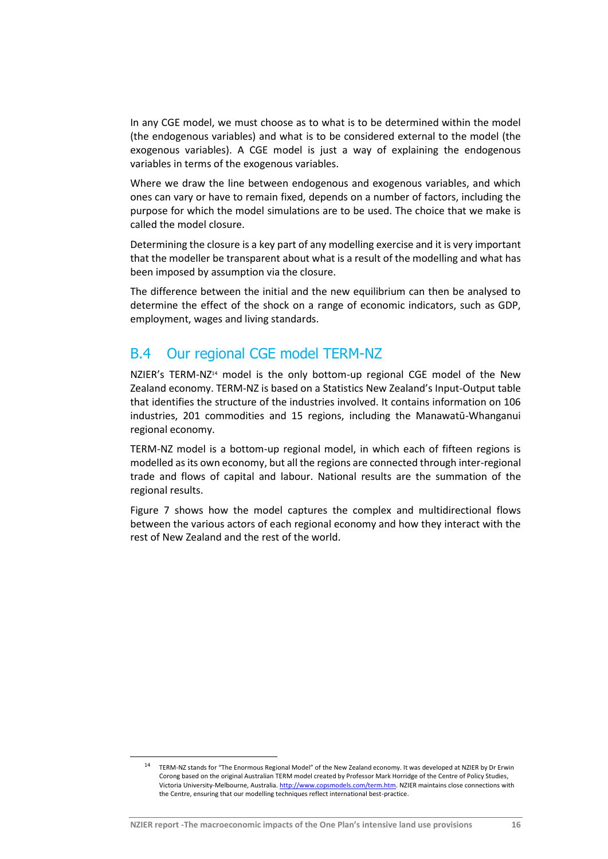In any CGE model, we must choose as to what is to be determined within the model (the endogenous variables) and what is to be considered external to the model (the exogenous variables). A CGE model is just a way of explaining the endogenous variables in terms of the exogenous variables.

Where we draw the line between endogenous and exogenous variables, and which ones can vary or have to remain fixed, depends on a number of factors, including the purpose for which the model simulations are to be used. The choice that we make is called the model closure.

Determining the closure is a key part of any modelling exercise and it is very important that the modeller be transparent about what is a result of the modelling and what has been imposed by assumption via the closure.

The difference between the initial and the new equilibrium can then be analysed to determine the effect of the shock on a range of economic indicators, such as GDP, employment, wages and living standards.

## B.4 Our regional CGE model TERM-NZ

NZIER's TERM-NZ<sup>14</sup> model is the only bottom-up regional CGE model of the New Zealand economy. TERM-NZ is based on a Statistics New Zealand's Input-Output table that identifies the structure of the industries involved. It contains information on 106 industries, 201 commodities and 15 regions, including the Manawatū-Whanganui regional economy.

TERM-NZ model is a bottom-up regional model, in which each of fifteen regions is modelled as its own economy, but all the regions are connected through inter-regional trade and flows of capital and labour. National results are the summation of the regional results.

[Figure 7](#page-27-1) shows how the model captures the complex and multidirectional flows between the various actors of each regional economy and how they interact with the rest of New Zealand and the rest of the world.

-

<sup>14</sup> TERM-NZ stands for "The Enormous Regional Model" of the New Zealand economy. It was developed at NZIER by Dr Erwin Corong based on the original Australian TERM model created by Professor Mark Horridge of the Centre of Policy Studies, Victoria University-Melbourne, Australia[. http://www.copsmodels.com/term.htm.](http://www.copsmodels.com/term.htm) NZIER maintains close connections with the Centre, ensuring that our modelling techniques reflect international best-practice.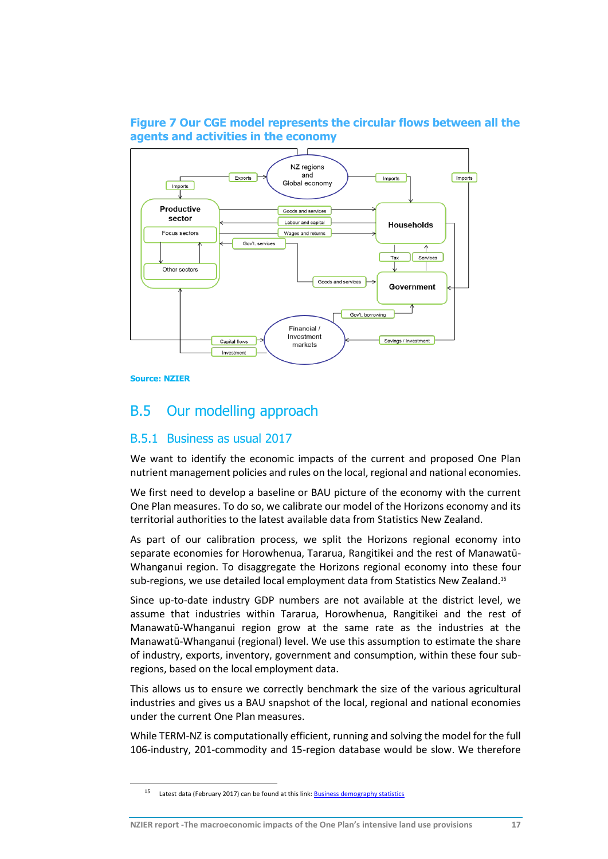### <span id="page-27-1"></span>**Figure 7 Our CGE model represents the circular flows between all the agents and activities in the economy**



**Source: NZIER**

-

# <span id="page-27-0"></span>B.5 Our modelling approach

### B.5.1 Business as usual 2017

We want to identify the economic impacts of the current and proposed One Plan nutrient management policies and rules on the local, regional and national economies.

We first need to develop a baseline or BAU picture of the economy with the current One Plan measures. To do so, we calibrate our model of the Horizons economy and its territorial authorities to the latest available data from Statistics New Zealand.

As part of our calibration process, we split the Horizons regional economy into separate economies for Horowhenua, Tararua, Rangitikei and the rest of Manawatū-Whanganui region. To disaggregate the Horizons regional economy into these four sub-regions, we use detailed local employment data from Statistics New Zealand.<sup>15</sup>

Since up-to-date industry GDP numbers are not available at the district level, we assume that industries within Tararua, Horowhenua, Rangitikei and the rest of Manawatū-Whanganui region grow at the same rate as the industries at the Manawatū-Whanganui (regional) level. We use this assumption to estimate the share of industry, exports, inventory, government and consumption, within these four subregions, based on the local employment data.

This allows us to ensure we correctly benchmark the size of the various agricultural industries and gives us a BAU snapshot of the local, regional and national economies under the current One Plan measures.

While TERM-NZ is computationally efficient, running and solving the model for the full 106-industry, 201-commodity and 15-region database would be slow. We therefore

<sup>15</sup> Latest data (February 2017) can be found at this link: **Business demography statistics**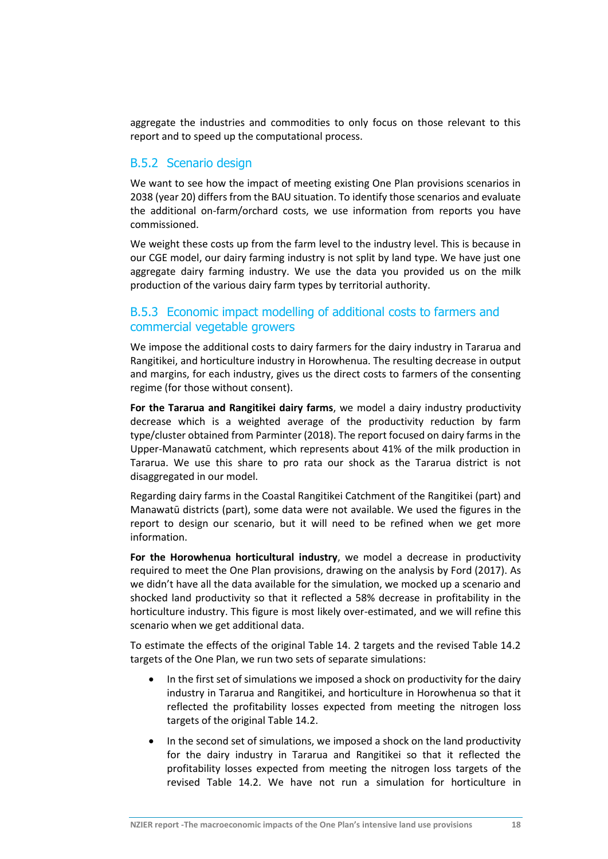aggregate the industries and commodities to only focus on those relevant to this report and to speed up the computational process.

### B.5.2 Scenario design

We want to see how the impact of meeting existing One Plan provisions scenarios in 2038 (year 20) differs from the BAU situation. To identify those scenarios and evaluate the additional on-farm/orchard costs, we use information from reports you have commissioned.

We weight these costs up from the farm level to the industry level. This is because in our CGE model, our dairy farming industry is not split by land type. We have just one aggregate dairy farming industry. We use the data you provided us on the milk production of the various dairy farm types by territorial authority.

### B.5.3 Economic impact modelling of additional costs to farmers and commercial vegetable growers

We impose the additional costs to dairy farmers for the dairy industry in Tararua and Rangitikei, and horticulture industry in Horowhenua. The resulting decrease in output and margins, for each industry, gives us the direct costs to farmers of the consenting regime (for those without consent).

**For the Tararua and Rangitikei dairy farms**, we model a dairy industry productivity decrease which is a weighted average of the productivity reduction by farm type/cluster obtained from Parminter (2018). The report focused on dairy farms in the Upper-Manawatū catchment, which represents about 41% of the milk production in Tararua. We use this share to pro rata our shock as the Tararua district is not disaggregated in our model.

Regarding dairy farms in the Coastal Rangitikei Catchment of the Rangitikei (part) and Manawatū districts (part), some data were not available. We used the figures in the report to design our scenario, but it will need to be refined when we get more information.

**For the Horowhenua horticultural industry**, we model a decrease in productivity required to meet the One Plan provisions, drawing on the analysis by Ford (2017). As we didn't have all the data available for the simulation, we mocked up a scenario and shocked land productivity so that it reflected a 58% decrease in profitability in the horticulture industry. This figure is most likely over-estimated, and we will refine this scenario when we get additional data.

To estimate the effects of the original Table 14. 2 targets and the revised Table 14.2 targets of the One Plan, we run two sets of separate simulations:

- In the first set of simulations we imposed a shock on productivity for the dairy industry in Tararua and Rangitikei, and horticulture in Horowhenua so that it reflected the profitability losses expected from meeting the nitrogen loss targets of the original Table 14.2.
- In the second set of simulations, we imposed a shock on the land productivity for the dairy industry in Tararua and Rangitikei so that it reflected the profitability losses expected from meeting the nitrogen loss targets of the revised Table 14.2. We have not run a simulation for horticulture in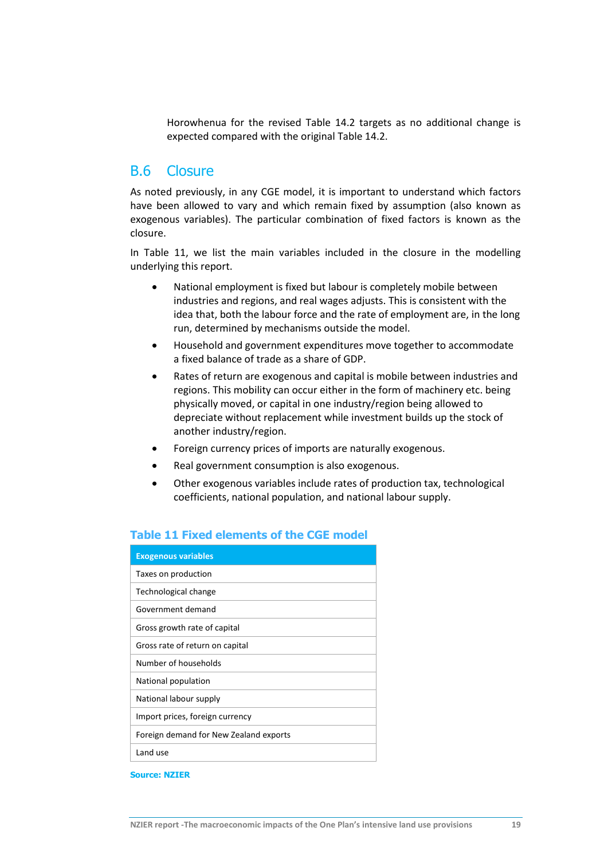Horowhenua for the revised Table 14.2 targets as no additional change is expected compared with the original Table 14.2.

## B.6 Closure

As noted previously, in any CGE model, it is important to understand which factors have been allowed to vary and which remain fixed by assumption (also known as exogenous variables). The particular combination of fixed factors is known as the closure.

In [Table 11,](#page-29-0) we list the main variables included in the closure in the modelling underlying this report.

- National employment is fixed but labour is completely mobile between industries and regions, and real wages adjusts. This is consistent with the idea that, both the labour force and the rate of employment are, in the long run, determined by mechanisms outside the model.
- Household and government expenditures move together to accommodate a fixed balance of trade as a share of GDP.
- Rates of return are exogenous and capital is mobile between industries and regions. This mobility can occur either in the form of machinery etc. being physically moved, or capital in one industry/region being allowed to depreciate without replacement while investment builds up the stock of another industry/region.
- Foreign currency prices of imports are naturally exogenous.
- Real government consumption is also exogenous.
- Other exogenous variables include rates of production tax, technological coefficients, national population, and national labour supply.

| <b>Exogenous variables</b>             |
|----------------------------------------|
| Taxes on production                    |
| Technological change                   |
| Government demand                      |
| Gross growth rate of capital           |
| Gross rate of return on capital        |
| Number of households                   |
| National population                    |
| National labour supply                 |
| Import prices, foreign currency        |
| Foreign demand for New Zealand exports |
| Land use                               |

#### <span id="page-29-0"></span>**Table 11 Fixed elements of the CGE model**

**Source: NZIER**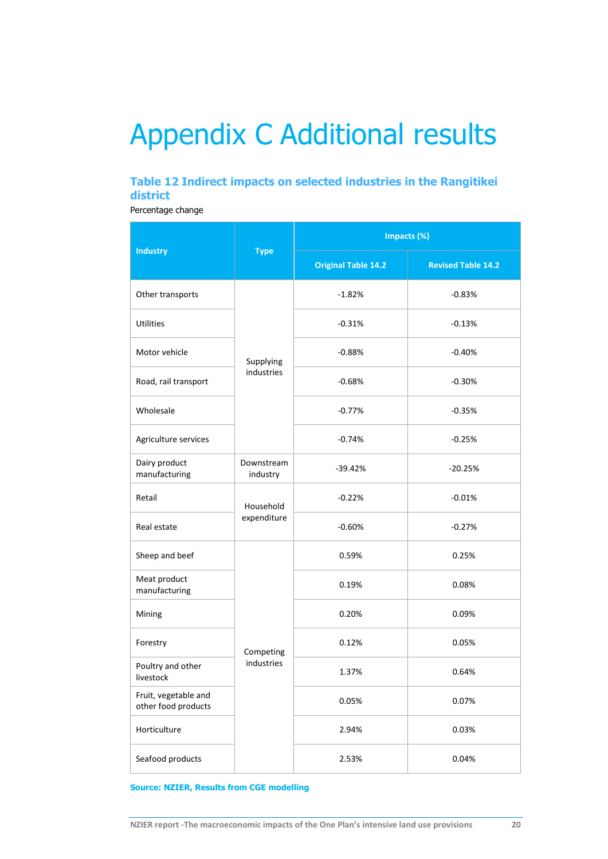# <span id="page-30-0"></span>Appendix C Additional results

### <span id="page-30-1"></span>**Table 12 Indirect impacts on selected industries in the Rangitikei district**

Percentage change

|                                             |                         | Impacts (%)                |                           |  |
|---------------------------------------------|-------------------------|----------------------------|---------------------------|--|
| <b>Industry</b>                             | <b>Type</b>             | <b>Original Table 14.2</b> | <b>Revised Table 14.2</b> |  |
| Other transports                            |                         | $-1.82%$                   | $-0.83%$                  |  |
| <b>Utilities</b>                            |                         | $-0.31%$                   | $-0.13%$                  |  |
| Motor vehicle                               | Supplying               | $-0.88%$                   | $-0.40%$                  |  |
| Road, rail transport                        | industries              | $-0.68%$                   | $-0.30%$                  |  |
| Wholesale                                   |                         | $-0.77%$                   | $-0.35%$                  |  |
| Agriculture services                        |                         | $-0.74%$                   | $-0.25%$                  |  |
| Dairy product<br>manufacturing              | Downstream<br>industry  | $-39.42%$                  | $-20.25%$                 |  |
| Retail                                      | Household               | $-0.22%$                   | $-0.01%$                  |  |
| Real estate                                 | expenditure             | $-0.60%$                   | $-0.27%$                  |  |
| Sheep and beef                              |                         | 0.59%                      | 0.25%                     |  |
| Meat product<br>manufacturing               |                         | 0.19%                      | 0.08%                     |  |
| Mining                                      | Competing<br>industries | 0.20%                      | 0.09%                     |  |
| Forestry                                    |                         | 0.12%                      | 0.05%                     |  |
| Poultry and other<br>livestock              |                         | 1.37%                      | 0.64%                     |  |
| Fruit, vegetable and<br>other food products |                         | 0.05%                      | 0.07%                     |  |
| Horticulture                                |                         | 2.94%                      | 0.03%                     |  |
| Seafood products                            |                         | 2.53%                      | 0.04%                     |  |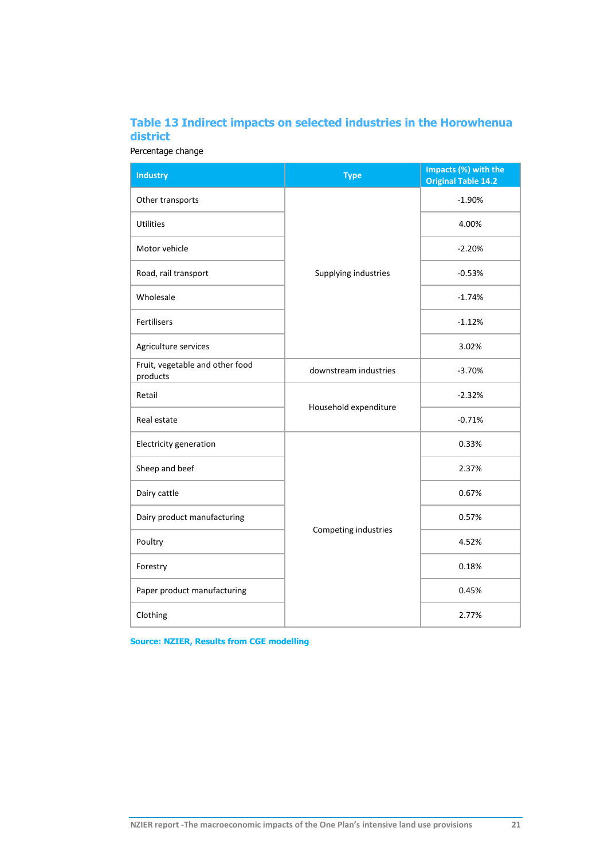## <span id="page-31-0"></span>**Table 13 Indirect impacts on selected industries in the Horowhenua district**

Percentage change

| <b>Industry</b>                             | $\overline{Type}$     | Impacts (%) with the<br><b>Original Table 14.2</b> |
|---------------------------------------------|-----------------------|----------------------------------------------------|
| Other transports                            |                       | $-1.90%$                                           |
| <b>Utilities</b>                            |                       | 4.00%                                              |
| Motor vehicle                               |                       | $-2.20%$                                           |
| Road, rail transport                        | Supplying industries  | $-0.53%$                                           |
| Wholesale                                   |                       | $-1.74%$                                           |
| Fertilisers                                 |                       | $-1.12%$                                           |
| Agriculture services                        |                       | 3.02%                                              |
| Fruit, vegetable and other food<br>products | downstream industries | $-3.70%$                                           |
| Retail                                      | Household expenditure | $-2.32%$                                           |
| Real estate                                 |                       | $-0.71%$                                           |
| Electricity generation                      |                       | 0.33%                                              |
| Sheep and beef                              |                       | 2.37%                                              |
| Dairy cattle                                |                       | 0.67%                                              |
| Dairy product manufacturing                 |                       | 0.57%                                              |
| Poultry                                     | Competing industries  | 4.52%                                              |
| Forestry                                    |                       | 0.18%                                              |
| Paper product manufacturing                 |                       | 0.45%                                              |
| Clothing                                    |                       | 2.77%                                              |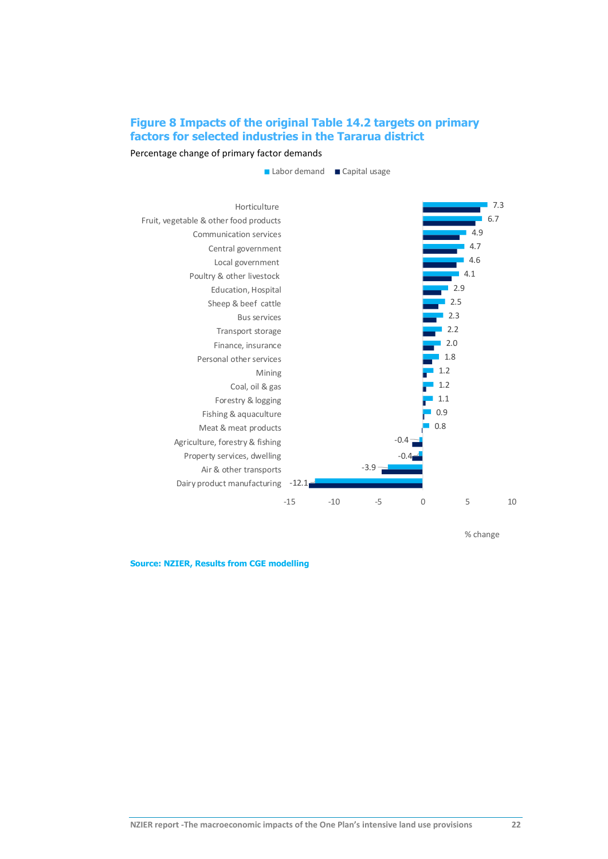## **Figure 8 Impacts of the original Table 14.2 targets on primary factors for selected industries in the Tararua district**

Percentage change of primary factor demands



% change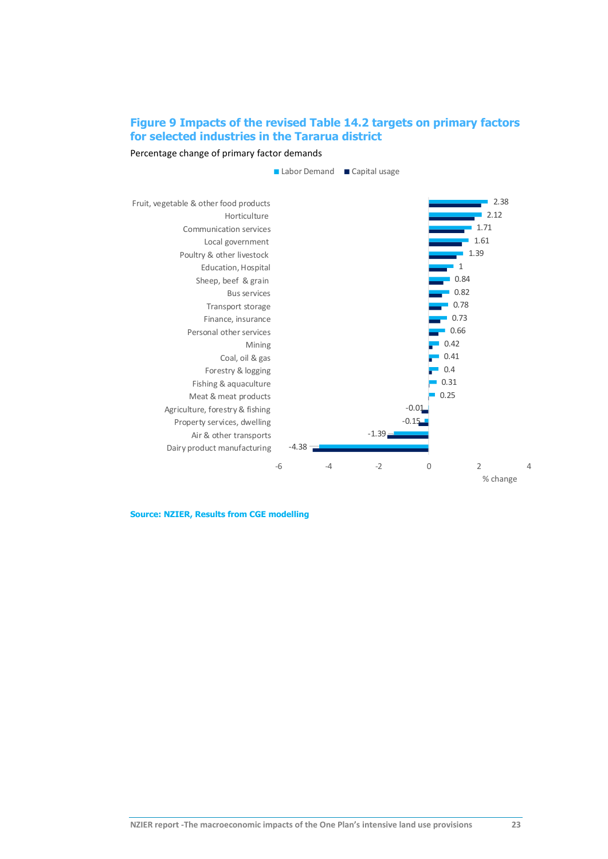## **Figure 9 Impacts of the revised Table 14.2 targets on primary factors for selected industries in the Tararua district**

Percentage change of primary factor demands

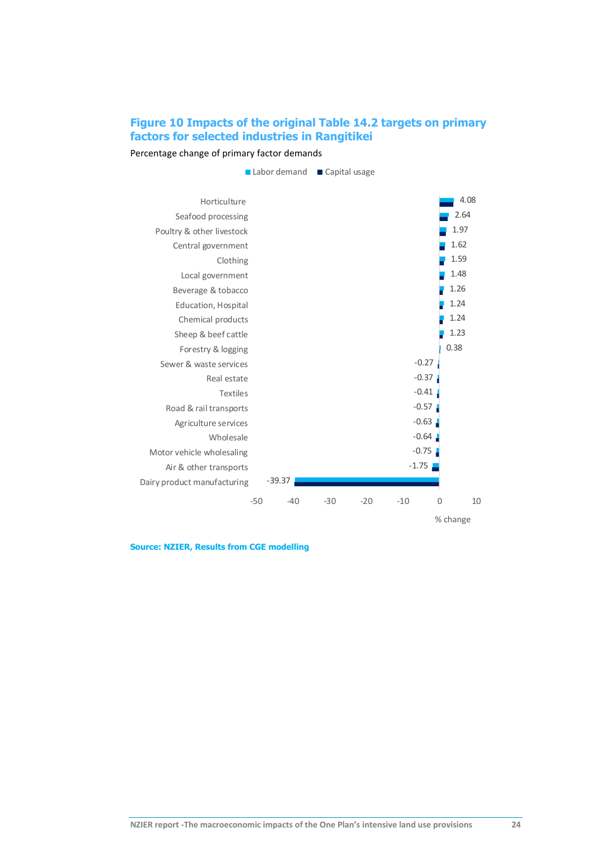## **Figure 10 Impacts of the original Table 14.2 targets on primary factors for selected industries in Rangitikei**

Percentage change of primary factor demands

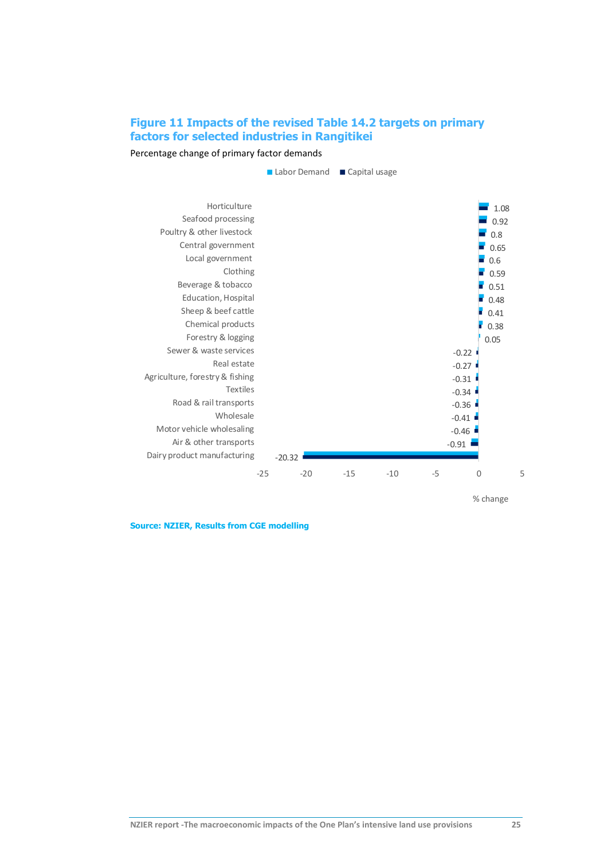### **Figure 11 Impacts of the revised Table 14.2 targets on primary factors for selected industries in Rangitikei**

Percentage change of primary factor demands



% change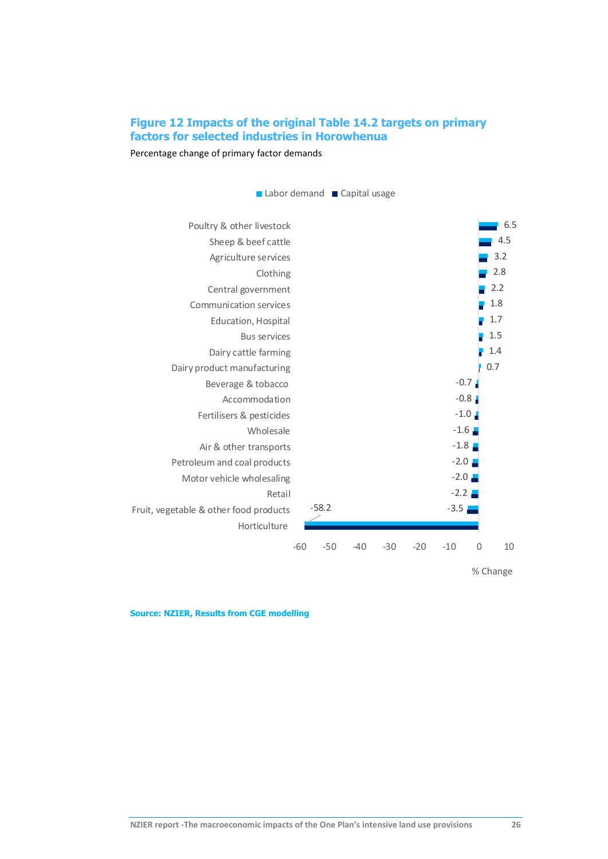### **Figure 12 Impacts of the original Table 14.2 targets on primary factors for selected industries in Horowhenua**

Percentage change of primary factor demands



% Change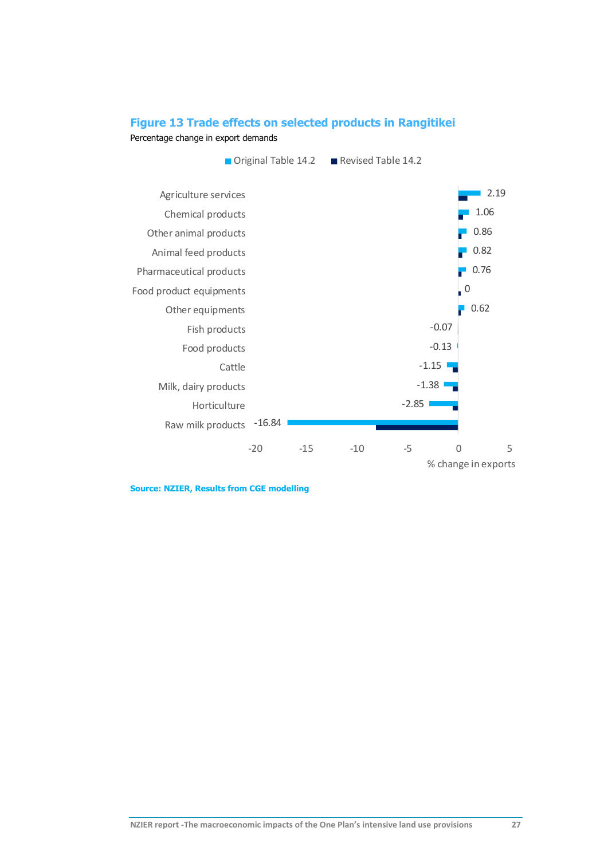### <span id="page-37-0"></span>**Figure 13 Trade effects on selected products in Rangitikei**

Percentage change in export demands